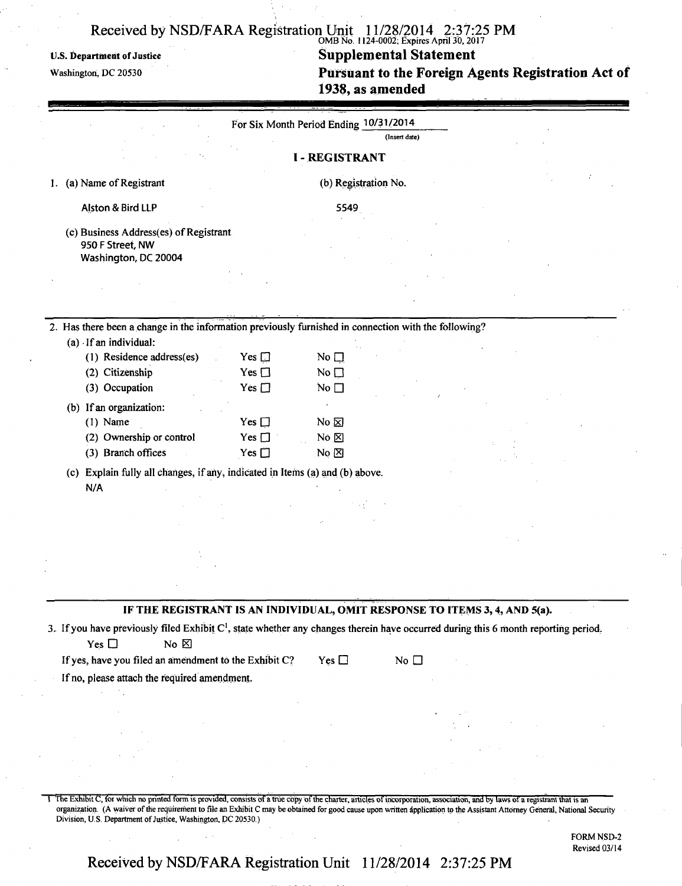### OMB No. 1124-0002; Expires April 30,2017

# U.S. Department of Justice **Supplemental Statement Supplemental Statement Washington, DC 20530**

**Pursuant to the Foreign Agents Registration Act of 1938, as amended** 

|                                                                                                                                                                                                                                                                                | For Six Month Period Ending 10/31/2014          | <b>I-REGISTRANT</b>                                | (Insert date) |  |  |
|--------------------------------------------------------------------------------------------------------------------------------------------------------------------------------------------------------------------------------------------------------------------------------|-------------------------------------------------|----------------------------------------------------|---------------|--|--|
| 1. (a) Name of Registrant                                                                                                                                                                                                                                                      |                                                 | (b) Registration No.                               |               |  |  |
| Alston & Bird LLP                                                                                                                                                                                                                                                              |                                                 | 5549                                               |               |  |  |
| (c) Business Address(es) of Registrant<br>950 F Street, NW<br>Washington, DC 20004                                                                                                                                                                                             |                                                 |                                                    |               |  |  |
|                                                                                                                                                                                                                                                                                |                                                 |                                                    |               |  |  |
| 2. Has there been a change in the information previously furnished in connection with the following?                                                                                                                                                                           |                                                 |                                                    |               |  |  |
| $(a)$ If an individual:<br>(1) Residence address(es)<br>(2) Citizenship<br>(3) Occupation                                                                                                                                                                                      | Yes $\square$<br>Yes $\square$<br>Yes $\square$ | No $\square$<br>No $\square$<br>No $\square$       |               |  |  |
| (b) If an organization:<br>$(1)$ Name<br>(2) Ownership or control<br>(3) Branch offices                                                                                                                                                                                        | Yes $\Box$<br>Yes $\Box$<br>Yes $\Box$          | No $\boxtimes$<br>No $\boxtimes$<br>No $\boxtimes$ |               |  |  |
| (c) Explain fully all changes, if any, indicated in Items (a) and (b) above.<br>N/A                                                                                                                                                                                            |                                                 |                                                    |               |  |  |
|                                                                                                                                                                                                                                                                                |                                                 |                                                    |               |  |  |
| IF THE REGISTRANT IS AN INDIVIDUAL, OMIT RESPONSE TO ITEMS 3, 4, AND 5(a).                                                                                                                                                                                                     |                                                 |                                                    |               |  |  |
| 3. If you have previously filed Exhibit $C^1$ , state whether any changes therein have occurred during this 6 month reporting period.<br>Yes $\Box$<br>No $\boxtimes$<br>If yes, have you filed an amendment to the Exhibit C?<br>If no, please attach the required amendment. |                                                 | Yes $\Box$                                         | No $\square$  |  |  |
|                                                                                                                                                                                                                                                                                |                                                 |                                                    |               |  |  |
|                                                                                                                                                                                                                                                                                |                                                 |                                                    |               |  |  |

1 The Exhibit C, for which no printed form is provided, consists of a true copy of the charter, articles of incorporation, association, and by laws of a registrant that is an organization. (A waiver of the requirement to file an Exhibit C may be obtained for good cause upon written application to the Assistant Attorney General, National Security Division, U.S. Department of Justice, Washington, DC 20530.)

> FORM NSD-2 Revised 03/14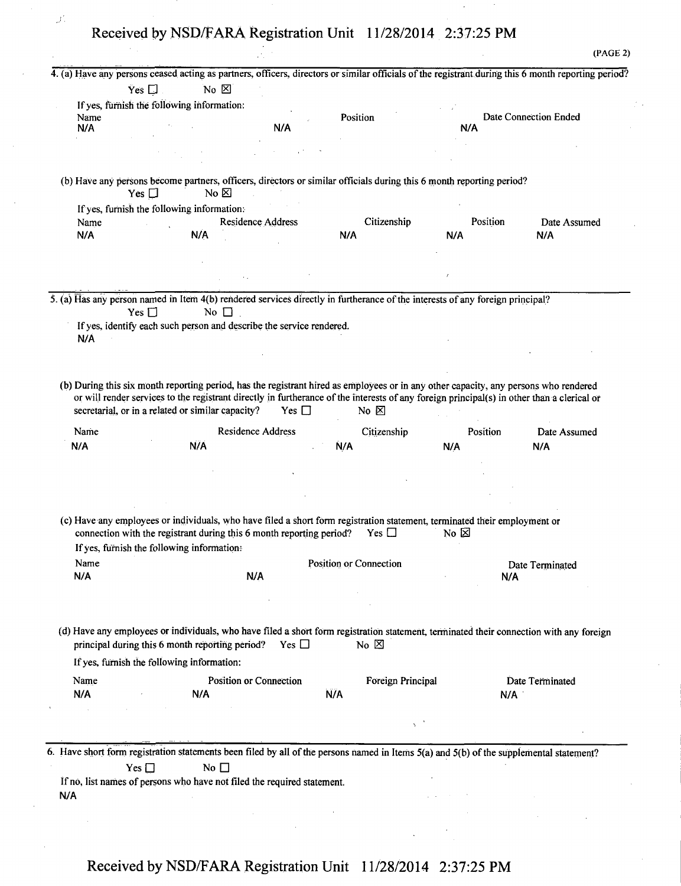$\cup^+$ 

|                                                                                                                                                                                                                                |  |  | (PAGE 2) |
|--------------------------------------------------------------------------------------------------------------------------------------------------------------------------------------------------------------------------------|--|--|----------|
| 4. (a) Have any persons ceased acting as partners, officers, directors or similar officials of the registrant during this 6 month reporting period?                                                                            |  |  |          |
| No $\boxtimes$<br>Yes $\square$ .                                                                                                                                                                                              |  |  |          |
| the contract of the second contract of the contract of the contract of the contract of the contract of the contract of the contract of the contract of the contract of the contract of the contract of the contract of the con |  |  |          |

| $\overline{Y}$ es $\Box$                   | $No \, \boxtimes$                                                                                                                                                                                                                                                                  |            |                               |          |                       |
|--------------------------------------------|------------------------------------------------------------------------------------------------------------------------------------------------------------------------------------------------------------------------------------------------------------------------------------|------------|-------------------------------|----------|-----------------------|
|                                            | If yes, furnish the following information:                                                                                                                                                                                                                                         |            |                               |          |                       |
| Name                                       |                                                                                                                                                                                                                                                                                    |            | Position                      |          | Date Connection Ended |
| N/A                                        |                                                                                                                                                                                                                                                                                    | N/A        |                               | N/A      |                       |
|                                            |                                                                                                                                                                                                                                                                                    |            |                               |          |                       |
|                                            |                                                                                                                                                                                                                                                                                    |            |                               |          |                       |
|                                            |                                                                                                                                                                                                                                                                                    |            |                               |          |                       |
|                                            | (b) Have any persons become partners, officers, directors or similar officials during this 6 month reporting period?                                                                                                                                                               |            |                               |          |                       |
| Yes $\Box$                                 | No $\boxtimes$                                                                                                                                                                                                                                                                     |            |                               |          |                       |
|                                            | If yes, furnish the following information:                                                                                                                                                                                                                                         |            |                               |          |                       |
| Name                                       | Residence Address                                                                                                                                                                                                                                                                  |            | Citizenship                   | Position | Date Assumed          |
| N/A                                        | N/A                                                                                                                                                                                                                                                                                |            | N/A                           | N/A      | N/A                   |
|                                            |                                                                                                                                                                                                                                                                                    |            |                               |          |                       |
|                                            |                                                                                                                                                                                                                                                                                    |            |                               |          |                       |
|                                            |                                                                                                                                                                                                                                                                                    |            |                               |          |                       |
|                                            | 5. (a) Has any person named in Item 4(b) rendered services directly in furtherance of the interests of any foreign principal?                                                                                                                                                      |            |                               |          |                       |
| Yes $\square$                              | No $\square$                                                                                                                                                                                                                                                                       |            |                               |          |                       |
|                                            | If yes, identify each such person and describe the service rendered.                                                                                                                                                                                                               |            |                               |          |                       |
| N/A                                        |                                                                                                                                                                                                                                                                                    |            |                               |          |                       |
|                                            |                                                                                                                                                                                                                                                                                    |            |                               |          |                       |
|                                            |                                                                                                                                                                                                                                                                                    |            |                               |          |                       |
|                                            |                                                                                                                                                                                                                                                                                    |            |                               |          |                       |
|                                            | (b) During this six month reporting period, has the registrant hired as employees or in any other capacity, any persons who rendered<br>or will render services to the registrant directly in furtherance of the interests of any foreign principal(s) in other than a clerical or |            |                               |          |                       |
|                                            | secretarial, or in a related or similar capacity?                                                                                                                                                                                                                                  | Yes $\Box$ | No $\boxtimes$                |          |                       |
| Name                                       | <b>Residence Address</b>                                                                                                                                                                                                                                                           |            | Citizenship                   | Position | Date Assumed          |
| N/A                                        | N/A                                                                                                                                                                                                                                                                                |            | Ń/A                           | N/A      | N/A                   |
|                                            |                                                                                                                                                                                                                                                                                    |            |                               |          |                       |
|                                            |                                                                                                                                                                                                                                                                                    |            |                               |          |                       |
|                                            |                                                                                                                                                                                                                                                                                    |            |                               |          |                       |
|                                            |                                                                                                                                                                                                                                                                                    |            |                               |          |                       |
|                                            |                                                                                                                                                                                                                                                                                    |            |                               |          |                       |
|                                            | (c) Have any employees or individuals, who have filed a short form registration statement, terminated their employment or                                                                                                                                                          |            |                               |          |                       |
|                                            | connection with the registrant during this 6 month reporting period?                                                                                                                                                                                                               |            | Yes $\Box$                    | No~Z     |                       |
| If yes, furnish the following information: |                                                                                                                                                                                                                                                                                    |            |                               |          |                       |
| Name                                       |                                                                                                                                                                                                                                                                                    |            | <b>Position or Connection</b> |          | Date Terminated       |
| N/A                                        | N/A                                                                                                                                                                                                                                                                                |            |                               | N/A      |                       |
|                                            |                                                                                                                                                                                                                                                                                    |            |                               |          |                       |
|                                            |                                                                                                                                                                                                                                                                                    |            |                               |          |                       |
|                                            |                                                                                                                                                                                                                                                                                    |            |                               |          |                       |
|                                            | (d) Have any employees or individuals, who have filed a short form registration statement, terminated their connection with any foreign                                                                                                                                            |            |                               |          |                       |
|                                            | principal during this 6 month reporting period?                                                                                                                                                                                                                                    | Yes $\Box$ | No $\boxtimes$                |          |                       |
|                                            |                                                                                                                                                                                                                                                                                    |            |                               |          |                       |
| If yes, furnish the following information: |                                                                                                                                                                                                                                                                                    |            |                               |          |                       |
| Name                                       | Position or Connection                                                                                                                                                                                                                                                             |            | Foreign Principal             |          | Date Terminated       |
| N/A                                        | N/A                                                                                                                                                                                                                                                                                |            | N/A                           | N/A      |                       |
| $\sim 100$                                 |                                                                                                                                                                                                                                                                                    |            |                               |          |                       |
|                                            |                                                                                                                                                                                                                                                                                    |            | $\sim$ $^{-1}$                |          |                       |
|                                            |                                                                                                                                                                                                                                                                                    |            |                               |          |                       |
|                                            | 6. Have short form registration statements been filed by all of the persons named in Items 5(a) and 5(b) of the supplemental statement?                                                                                                                                            |            |                               |          |                       |
|                                            |                                                                                                                                                                                                                                                                                    |            |                               |          |                       |
| Yes $\square$                              | No $\square$                                                                                                                                                                                                                                                                       |            |                               |          |                       |
|                                            | If no, list names of persons who have not filed the required statement.                                                                                                                                                                                                            |            |                               |          |                       |
| N/A                                        |                                                                                                                                                                                                                                                                                    |            |                               |          |                       |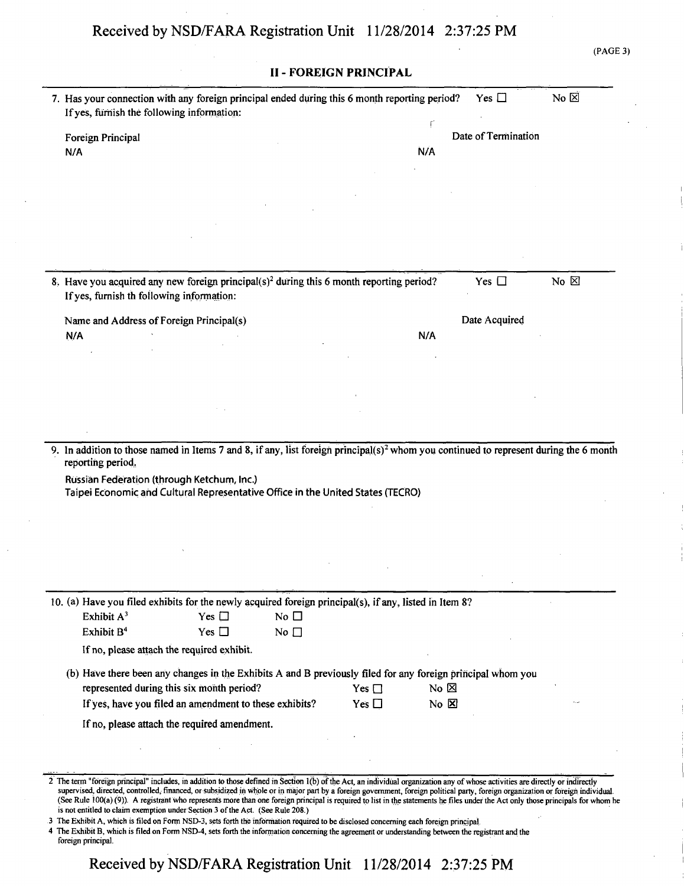|                                           |                                                                                                                                                                                                                                                                                                                                                                                                                                                          |              |                               |                               |                     | (PAGE 3)       |
|-------------------------------------------|----------------------------------------------------------------------------------------------------------------------------------------------------------------------------------------------------------------------------------------------------------------------------------------------------------------------------------------------------------------------------------------------------------------------------------------------------------|--------------|-------------------------------|-------------------------------|---------------------|----------------|
|                                           |                                                                                                                                                                                                                                                                                                                                                                                                                                                          |              | <b>II - FOREIGN PRINCIPAL</b> |                               |                     |                |
|                                           | 7. Has your connection with any foreign principal ended during this 6 month reporting period?<br>If yes, furnish the following information:                                                                                                                                                                                                                                                                                                              |              |                               |                               | Yes $\Box$          | No $\boxtimes$ |
| Foreign Principal                         |                                                                                                                                                                                                                                                                                                                                                                                                                                                          |              |                               |                               | Date of Termination |                |
| N/A                                       |                                                                                                                                                                                                                                                                                                                                                                                                                                                          |              |                               | N/A                           |                     |                |
|                                           |                                                                                                                                                                                                                                                                                                                                                                                                                                                          |              |                               |                               |                     |                |
|                                           |                                                                                                                                                                                                                                                                                                                                                                                                                                                          |              |                               |                               |                     |                |
|                                           |                                                                                                                                                                                                                                                                                                                                                                                                                                                          |              |                               |                               |                     |                |
|                                           |                                                                                                                                                                                                                                                                                                                                                                                                                                                          |              |                               |                               |                     |                |
|                                           |                                                                                                                                                                                                                                                                                                                                                                                                                                                          |              |                               |                               |                     |                |
| If yes, furnish th following information: | 8. Have you acquired any new foreign principal(s) <sup>2</sup> during this 6 month reporting period?                                                                                                                                                                                                                                                                                                                                                     |              |                               |                               | Yes $\Box$          | No $\boxtimes$ |
|                                           | Name and Address of Foreign Principal(s)                                                                                                                                                                                                                                                                                                                                                                                                                 |              |                               |                               | Date Acquired       |                |
| N/A                                       |                                                                                                                                                                                                                                                                                                                                                                                                                                                          |              |                               | N/A                           |                     |                |
|                                           |                                                                                                                                                                                                                                                                                                                                                                                                                                                          |              |                               |                               |                     |                |
|                                           |                                                                                                                                                                                                                                                                                                                                                                                                                                                          |              |                               |                               |                     |                |
|                                           |                                                                                                                                                                                                                                                                                                                                                                                                                                                          |              |                               |                               |                     |                |
|                                           |                                                                                                                                                                                                                                                                                                                                                                                                                                                          |              |                               |                               |                     |                |
|                                           | Russian Federation (through Ketchum, Inc.)<br>Taipei Economic and Cultural Representative Office in the United States (TECRO)                                                                                                                                                                                                                                                                                                                            |              |                               |                               |                     |                |
|                                           |                                                                                                                                                                                                                                                                                                                                                                                                                                                          |              |                               |                               |                     |                |
|                                           | 10. (a) Have you filed exhibits for the newly acquired foreign principal(s), if any, listed in Item 8?                                                                                                                                                                                                                                                                                                                                                   |              |                               |                               |                     |                |
| Exhibit A <sup>3</sup>                    | Yes $\square$                                                                                                                                                                                                                                                                                                                                                                                                                                            | No $\Box$    |                               |                               |                     |                |
| Exhibit B <sup>4</sup>                    | Yes $\Box$                                                                                                                                                                                                                                                                                                                                                                                                                                               | No $\square$ |                               |                               |                     |                |
|                                           | If no, please attach the required exhibit.                                                                                                                                                                                                                                                                                                                                                                                                               |              |                               |                               |                     |                |
|                                           | (b) Have there been any changes in the Exhibits A and B previously filed for any foreign principal whom you                                                                                                                                                                                                                                                                                                                                              |              |                               |                               |                     |                |
|                                           | represented during this six month period?<br>If yes, have you filed an amendment to these exhibits?                                                                                                                                                                                                                                                                                                                                                      |              | Yes $\Box$<br>Yes $\Box$      | No $\boxtimes$<br>$No \times$ |                     |                |
|                                           | If no, please attach the required amendment.                                                                                                                                                                                                                                                                                                                                                                                                             |              |                               |                               |                     |                |
|                                           |                                                                                                                                                                                                                                                                                                                                                                                                                                                          |              |                               |                               |                     |                |
|                                           |                                                                                                                                                                                                                                                                                                                                                                                                                                                          |              |                               |                               |                     |                |
|                                           | 2 The term "foreign principal" includes, in addition to those defined in Section 1(b) of the Act, an individual organization any of whose activities are directly or indirectly                                                                                                                                                                                                                                                                          |              |                               |                               |                     |                |
|                                           | supervised, directed, controlled, financed, or subsidized in whole or in major part by a foreign government, foreign political party, foreign organization or foreign individual.<br>(See Rule 100(a) (9)). A registrant who represents more than one foreign principal is required to list in the statements he files under the Act only those principals for whom he<br>is not entitled to claim exemption under Section 3 of the Act. (See Rule 208.) |              |                               |                               |                     |                |
| foreign principal.                        | 3 The Exhibit A, which is filed on Form NSD-3, sets forth the information required to be disclosed concerning each foreign principal.<br>4 The Exhibit B, which is filed on Form NSD-4, sets forth the information concerning the agreement or understanding between the registrant and the                                                                                                                                                              |              |                               |                               |                     |                |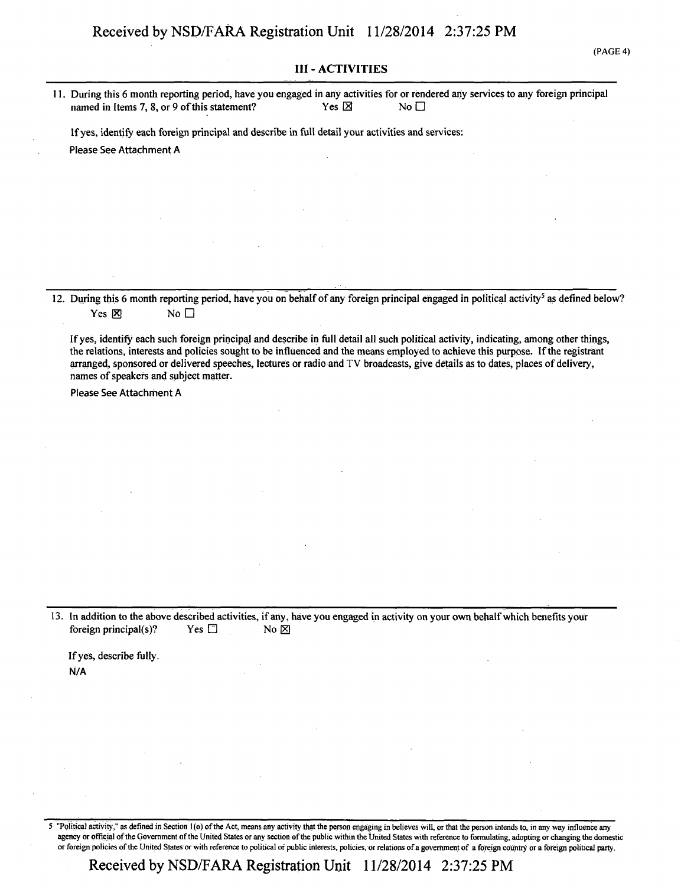#### **III - ACTIVITIES**

**11. During this 6 month reporting period, have you engaged in any activities for or rendered any services to any foreign principal**  named in Items 7, 8, or 9 of this statement?

**If yes, identify each foreign principal and describe in full detail your activities and services: Please See Attachment A** 

**12. During this 6 month reporting period, have you on behalf of any foreign principal engaged in political activity<sup>5</sup> as defined below? Yes**  $\overline{\mathsf{X}}$  **No**  $\Box$ 

**If yes, identify each such foreign principal and describe in full detail all such political activity, indicating, among other things, the relations, interests and policies sought to be influenced and the means employed to achieve this purpose. If the registrant arranged, sponsored or delivered speeches, lectures or radio and TV broadcasts, give details as to dates, places of delivery, names of speakers and subject matter.** 

Please See Attachment A

**13. In addition to the above described activities, if any, have you engaged in activity on your own behalf which benefits your foreign principal(s)?** Yes  $\Box$  No  $\boxtimes$ 

**If yes, describe fully. N/A** 

5 "Political activity," as defined in Section l(o) of the Act, means any activity that the person engaging in believes will, or that the person intends to, in any way influence any agency or official of the Government of the United States or any section of the public within the United States with reference to formulating, adopting or changing the domestic or foreign policies of the United States or with reference to political or public interests, policies, or relations of a government of a foreign country or a foreign political party.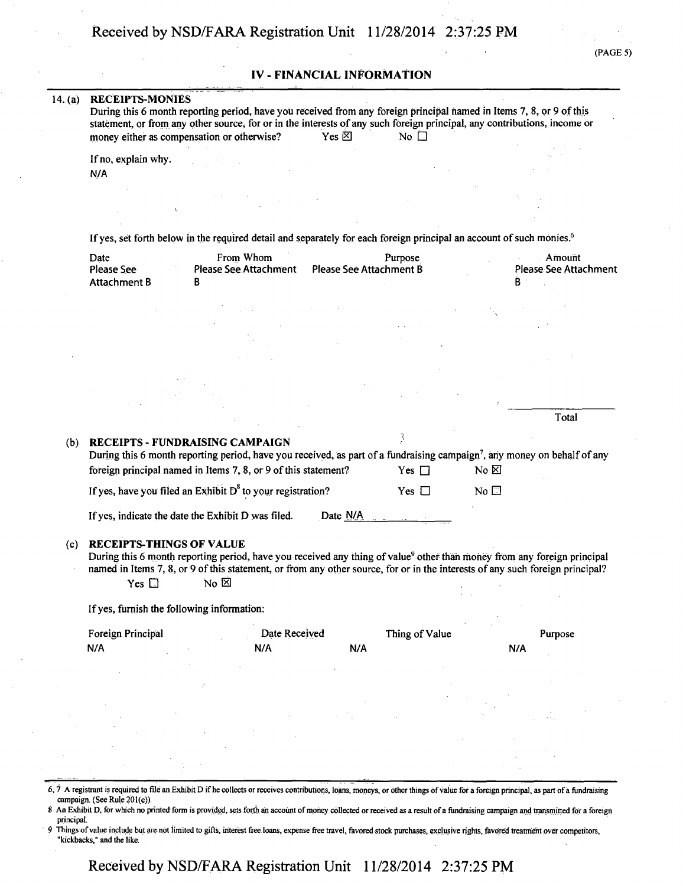(PAGE 5)

### **IV - FINANCIAL INFORMATION**

| 14. $(a)$ | <b>RECEIPTS-MONIES</b><br>money either as compensation or otherwise? | During this 6 month reporting period, have you received from any foreign principal named in Items 7, 8, or 9 of this<br>statement, or from any other source, for or in the interests of any such foreign principal, any contributions, income or                                                                  | Yes $\boxtimes$         | No $\square$             |                                |                                                                                                                               |
|-----------|----------------------------------------------------------------------|-------------------------------------------------------------------------------------------------------------------------------------------------------------------------------------------------------------------------------------------------------------------------------------------------------------------|-------------------------|--------------------------|--------------------------------|-------------------------------------------------------------------------------------------------------------------------------|
|           | If no, explain why.<br>N/A                                           |                                                                                                                                                                                                                                                                                                                   |                         |                          |                                |                                                                                                                               |
|           |                                                                      |                                                                                                                                                                                                                                                                                                                   |                         |                          |                                |                                                                                                                               |
|           |                                                                      | If yes, set forth below in the required detail and separately for each foreign principal an account of such monies. <sup>6</sup>                                                                                                                                                                                  |                         |                          |                                |                                                                                                                               |
|           | Date<br>Please See                                                   | From Whom<br><b>Please See Attachment</b>                                                                                                                                                                                                                                                                         | Please See Attachment B | Purpose                  |                                | Amount<br>Please See Attachment<br>B                                                                                          |
|           | <b>Attachment B</b>                                                  | В                                                                                                                                                                                                                                                                                                                 |                         |                          |                                |                                                                                                                               |
|           |                                                                      |                                                                                                                                                                                                                                                                                                                   |                         |                          |                                |                                                                                                                               |
|           |                                                                      |                                                                                                                                                                                                                                                                                                                   |                         |                          |                                |                                                                                                                               |
|           |                                                                      |                                                                                                                                                                                                                                                                                                                   |                         |                          |                                |                                                                                                                               |
|           |                                                                      |                                                                                                                                                                                                                                                                                                                   |                         |                          |                                |                                                                                                                               |
|           |                                                                      |                                                                                                                                                                                                                                                                                                                   |                         |                          |                                | Total                                                                                                                         |
| (b)       |                                                                      | <b>RECEIPTS - FUNDRAISING CAMPAIGN</b><br>During this 6 month reporting period, have you received, as part of a fundraising campaign <sup>7</sup> , any money on behalf of any<br>foreign principal named in Items 7, 8, or 9 of this statement?<br>If yes, have you filed an Exhibit $D^8$ to your registration? |                         | Yes $\Box$<br>Yes $\Box$ | No $\boxtimes$<br>No $\square$ |                                                                                                                               |
|           |                                                                      | If yes, indicate the date the Exhibit D was filed.                                                                                                                                                                                                                                                                | Date N/A                |                          |                                |                                                                                                                               |
| (c)       | <b>RECEIPTS-THINGS OF VALUE</b>                                      | During this 6 month reporting period, have you received any thing of value <sup>9</sup> other than money from any foreign principal                                                                                                                                                                               |                         |                          |                                |                                                                                                                               |
|           | Yes $\square$                                                        | $No \boxtimes$                                                                                                                                                                                                                                                                                                    |                         |                          |                                | named in Items 7, 8, or 9 of this statement, or from any other source, for or in the interests of any such foreign principal? |
|           | If yes, furnish the following information:                           |                                                                                                                                                                                                                                                                                                                   |                         |                          |                                |                                                                                                                               |
|           | Foreign Principal<br>N/A                                             | Date Received<br>N/A                                                                                                                                                                                                                                                                                              | N/A                     | Thing of Value           |                                | Purpose<br>N/A                                                                                                                |
|           |                                                                      |                                                                                                                                                                                                                                                                                                                   |                         |                          |                                |                                                                                                                               |
|           |                                                                      |                                                                                                                                                                                                                                                                                                                   |                         |                          |                                |                                                                                                                               |
|           |                                                                      |                                                                                                                                                                                                                                                                                                                   |                         |                          |                                |                                                                                                                               |

8 An Exhibit D, for which no printed form is provided, sets forth an account of money collected or received as a result of a fundraising campaign and transmitted for a foreign principal.

9 Things of value include but are not limited to gifts, interest free loans, expense free travel, favored stock purchases, exclusive rights, favored treatment over competitors, "kickbacks," and the like.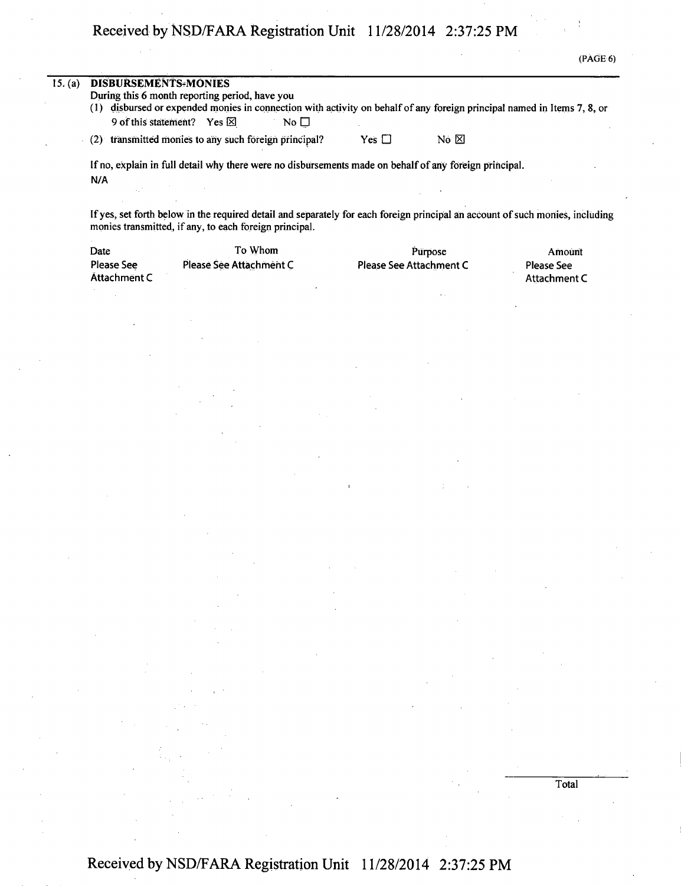|         |                                                           |                                                                                                                                                                                                                                                                                                                                                                                                                                                                               |                                                                                                                                                                                                                                                                                                                                                                                                                                                          |               |                                                                                                                                                                                                                                                                                                                                                                                                                                                             |                                                                                                                                                                                                                                                                                                                                                                                                                                                           | (PAGE 6) |
|---------|-----------------------------------------------------------|-------------------------------------------------------------------------------------------------------------------------------------------------------------------------------------------------------------------------------------------------------------------------------------------------------------------------------------------------------------------------------------------------------------------------------------------------------------------------------|----------------------------------------------------------------------------------------------------------------------------------------------------------------------------------------------------------------------------------------------------------------------------------------------------------------------------------------------------------------------------------------------------------------------------------------------------------|---------------|-------------------------------------------------------------------------------------------------------------------------------------------------------------------------------------------------------------------------------------------------------------------------------------------------------------------------------------------------------------------------------------------------------------------------------------------------------------|-----------------------------------------------------------------------------------------------------------------------------------------------------------------------------------------------------------------------------------------------------------------------------------------------------------------------------------------------------------------------------------------------------------------------------------------------------------|----------|
| 15. (a) | <b>DISBURSEMENTS-MONIES</b>                               | During this 6 month reporting period, have you<br>(1) disbursed or expended monies in connection with activity on behalf of any foreign principal named in Items 7, 8, or<br>9 of this statement? Yes ⊠                                                                                                                                                                                                                                                                       | No $\square$                                                                                                                                                                                                                                                                                                                                                                                                                                             |               |                                                                                                                                                                                                                                                                                                                                                                                                                                                             |                                                                                                                                                                                                                                                                                                                                                                                                                                                           |          |
|         |                                                           | (2) transmitted monies to any such foreign principal?                                                                                                                                                                                                                                                                                                                                                                                                                         |                                                                                                                                                                                                                                                                                                                                                                                                                                                          | Yes $\square$ | No ⊠                                                                                                                                                                                                                                                                                                                                                                                                                                                        |                                                                                                                                                                                                                                                                                                                                                                                                                                                           |          |
|         | N/A                                                       | If no, explain in full detail why there were no disbursements made on behalf of any foreign principal.                                                                                                                                                                                                                                                                                                                                                                        |                                                                                                                                                                                                                                                                                                                                                                                                                                                          |               |                                                                                                                                                                                                                                                                                                                                                                                                                                                             |                                                                                                                                                                                                                                                                                                                                                                                                                                                           |          |
|         |                                                           | If yes, set forth below in the required detail and separately for each foreign principal an account of such monies, including<br>monies transmitted, if any, to each foreign principal.                                                                                                                                                                                                                                                                                       |                                                                                                                                                                                                                                                                                                                                                                                                                                                          |               |                                                                                                                                                                                                                                                                                                                                                                                                                                                             |                                                                                                                                                                                                                                                                                                                                                                                                                                                           |          |
|         | Date<br><b>Please See</b><br>Attachment C                 | To Whom<br>Please See Attachment C                                                                                                                                                                                                                                                                                                                                                                                                                                            |                                                                                                                                                                                                                                                                                                                                                                                                                                                          |               | Purpose<br>Please See Attachment C                                                                                                                                                                                                                                                                                                                                                                                                                          | Amount<br><b>Please See</b><br>Attachment C                                                                                                                                                                                                                                                                                                                                                                                                               |          |
|         |                                                           |                                                                                                                                                                                                                                                                                                                                                                                                                                                                               |                                                                                                                                                                                                                                                                                                                                                                                                                                                          |               |                                                                                                                                                                                                                                                                                                                                                                                                                                                             |                                                                                                                                                                                                                                                                                                                                                                                                                                                           |          |
|         |                                                           |                                                                                                                                                                                                                                                                                                                                                                                                                                                                               |                                                                                                                                                                                                                                                                                                                                                                                                                                                          |               |                                                                                                                                                                                                                                                                                                                                                                                                                                                             |                                                                                                                                                                                                                                                                                                                                                                                                                                                           |          |
|         |                                                           |                                                                                                                                                                                                                                                                                                                                                                                                                                                                               |                                                                                                                                                                                                                                                                                                                                                                                                                                                          |               |                                                                                                                                                                                                                                                                                                                                                                                                                                                             |                                                                                                                                                                                                                                                                                                                                                                                                                                                           |          |
|         |                                                           |                                                                                                                                                                                                                                                                                                                                                                                                                                                                               |                                                                                                                                                                                                                                                                                                                                                                                                                                                          |               |                                                                                                                                                                                                                                                                                                                                                                                                                                                             |                                                                                                                                                                                                                                                                                                                                                                                                                                                           |          |
|         |                                                           |                                                                                                                                                                                                                                                                                                                                                                                                                                                                               |                                                                                                                                                                                                                                                                                                                                                                                                                                                          |               |                                                                                                                                                                                                                                                                                                                                                                                                                                                             |                                                                                                                                                                                                                                                                                                                                                                                                                                                           |          |
|         |                                                           |                                                                                                                                                                                                                                                                                                                                                                                                                                                                               |                                                                                                                                                                                                                                                                                                                                                                                                                                                          |               |                                                                                                                                                                                                                                                                                                                                                                                                                                                             |                                                                                                                                                                                                                                                                                                                                                                                                                                                           |          |
|         |                                                           |                                                                                                                                                                                                                                                                                                                                                                                                                                                                               |                                                                                                                                                                                                                                                                                                                                                                                                                                                          |               |                                                                                                                                                                                                                                                                                                                                                                                                                                                             |                                                                                                                                                                                                                                                                                                                                                                                                                                                           |          |
|         |                                                           |                                                                                                                                                                                                                                                                                                                                                                                                                                                                               |                                                                                                                                                                                                                                                                                                                                                                                                                                                          |               |                                                                                                                                                                                                                                                                                                                                                                                                                                                             |                                                                                                                                                                                                                                                                                                                                                                                                                                                           |          |
|         |                                                           |                                                                                                                                                                                                                                                                                                                                                                                                                                                                               |                                                                                                                                                                                                                                                                                                                                                                                                                                                          |               |                                                                                                                                                                                                                                                                                                                                                                                                                                                             |                                                                                                                                                                                                                                                                                                                                                                                                                                                           |          |
|         |                                                           |                                                                                                                                                                                                                                                                                                                                                                                                                                                                               |                                                                                                                                                                                                                                                                                                                                                                                                                                                          |               |                                                                                                                                                                                                                                                                                                                                                                                                                                                             |                                                                                                                                                                                                                                                                                                                                                                                                                                                           |          |
|         |                                                           |                                                                                                                                                                                                                                                                                                                                                                                                                                                                               |                                                                                                                                                                                                                                                                                                                                                                                                                                                          |               |                                                                                                                                                                                                                                                                                                                                                                                                                                                             |                                                                                                                                                                                                                                                                                                                                                                                                                                                           |          |
|         |                                                           |                                                                                                                                                                                                                                                                                                                                                                                                                                                                               |                                                                                                                                                                                                                                                                                                                                                                                                                                                          |               |                                                                                                                                                                                                                                                                                                                                                                                                                                                             |                                                                                                                                                                                                                                                                                                                                                                                                                                                           |          |
|         |                                                           |                                                                                                                                                                                                                                                                                                                                                                                                                                                                               | $\label{eq:2.1} \frac{1}{\sqrt{2}}\int_{\mathbb{R}^3} \frac{d\mu}{\sqrt{2}} \left( \frac{d\mu}{\sqrt{2}} \right) \left( \frac{d\mu}{\sqrt{2}} \right) \left( \frac{d\mu}{\sqrt{2}} \right) \left( \frac{d\mu}{\sqrt{2}} \right) \left( \frac{d\mu}{\sqrt{2}} \right) \left( \frac{d\mu}{\sqrt{2}} \right) \left( \frac{d\mu}{\sqrt{2}} \right) \left( \frac{d\mu}{\sqrt{2}} \right) \left( \frac{d\mu}{\sqrt{2}} \right) \left( \frac{d\mu}{\sqrt{2}}$   |               |                                                                                                                                                                                                                                                                                                                                                                                                                                                             |                                                                                                                                                                                                                                                                                                                                                                                                                                                           |          |
|         |                                                           | $\label{eq:2.1} \mathcal{L}(\mathcal{L}^{\text{max}}_{\mathcal{L}}(\mathcal{L}^{\text{max}}_{\mathcal{L}}),\mathcal{L}^{\text{max}}_{\mathcal{L}}(\mathcal{L}^{\text{max}}_{\mathcal{L}}))\leq \mathcal{L}(\mathcal{L}^{\text{max}}_{\mathcal{L}}(\mathcal{L}^{\text{max}}_{\mathcal{L}}))$                                                                                                                                                                                   |                                                                                                                                                                                                                                                                                                                                                                                                                                                          |               | $\mathcal{L}(\mathcal{L}(\mathcal{L}(\mathcal{L}(\mathcal{L}(\mathcal{L}(\mathcal{L}(\mathcal{L}(\mathcal{L}(\mathcal{L}(\mathcal{L}(\mathcal{L}(\mathcal{L}(\mathcal{L}(\mathcal{L}(\mathcal{L}(\mathcal{L}(\mathcal{L}(\mathcal{L}(\mathcal{L}(\mathcal{L}(\mathcal{L}(\mathcal{L}(\mathcal{L}(\mathcal{L}(\mathcal{L}(\mathcal{L}(\mathcal{L}(\mathcal{L}(\mathcal{L}(\mathcal{L}(\mathcal{L}(\mathcal{L}(\mathcal{L}(\mathcal{L}(\mathcal{L}(\mathcal{$ |                                                                                                                                                                                                                                                                                                                                                                                                                                                           |          |
|         |                                                           | $\mathcal{L}(\mathcal{L})$ and $\mathcal{L}(\mathcal{L})$ are the set of the set of the set of the set of the set of the set of the set of the set of the set of the set of the set of the set of the set of the set of the set of the set of the set<br>$\mathcal{L}(\mathcal{L}^{\mathcal{L}})$ and $\mathcal{L}(\mathcal{L}^{\mathcal{L}})$ and $\mathcal{L}(\mathcal{L}^{\mathcal{L}})$ and $\mathcal{L}(\mathcal{L}^{\mathcal{L}})$                                      | $\mathcal{L}_{\text{max}}$ and $\mathcal{L}_{\text{max}}$ . We can also                                                                                                                                                                                                                                                                                                                                                                                  |               |                                                                                                                                                                                                                                                                                                                                                                                                                                                             | $\label{eq:2.1} \frac{1}{\sqrt{2}}\int_{\mathbb{R}^3}\frac{1}{\sqrt{2}}\left(\frac{1}{\sqrt{2}}\right)^2\frac{1}{\sqrt{2}}\left(\frac{1}{\sqrt{2}}\right)^2\frac{1}{\sqrt{2}}\left(\frac{1}{\sqrt{2}}\right)^2\frac{1}{\sqrt{2}}\left(\frac{1}{\sqrt{2}}\right)^2\frac{1}{\sqrt{2}}\left(\frac{1}{\sqrt{2}}\right)^2\frac{1}{\sqrt{2}}\frac{1}{\sqrt{2}}\frac{1}{\sqrt{2}}\frac{1}{\sqrt{2}}\frac{1}{\sqrt{2}}\frac{1}{\sqrt{2}}$                         |          |
|         |                                                           | $\label{eq:2.1} \begin{split} \mathcal{L}_{\text{max}}(\mathbf{r}) & = \frac{1}{2} \sum_{i=1}^{N} \mathcal{L}_{\text{max}}(\mathbf{r}) \mathcal{L}_{\text{max}}(\mathbf{r}) \\ & = \frac{1}{2} \sum_{i=1}^{N} \mathcal{L}_{\text{max}}(\mathbf{r}) \mathcal{L}_{\text{max}}(\mathbf{r}) \mathcal{L}_{\text{max}}(\mathbf{r}) \mathcal{L}_{\text{max}}(\mathbf{r}) \mathcal{L}_{\text{max}}(\mathbf{r}) \mathcal{L}_{\text{max}}(\mathbf{r}) \mathcal{L}_{\text{max}}(\mathbf$ |                                                                                                                                                                                                                                                                                                                                                                                                                                                          |               | $\label{eq:2.1} \mathcal{L}(\mathcal{L}^{\text{max}}_{\mathcal{L}}(\mathcal{L}^{\text{max}}_{\mathcal{L}}(\mathcal{L}^{\text{max}}_{\mathcal{L}}(\mathcal{L}^{\text{max}}_{\mathcal{L}^{\text{max}}_{\mathcal{L}}(\mathcal{L}^{\text{max}}_{\mathcal{L}^{\text{max}}_{\mathcal{L}^{\text{max}}_{\mathcal{L}^{\text{max}}_{\mathcal{L}^{\text{max}}_{\mathcal{L}^{\text{max}}_{\mathcal{L}^{\text{max}}_{\mathcal{L}^{\text{max}}_{\mathcal{L}^{\text{max}}$ |                                                                                                                                                                                                                                                                                                                                                                                                                                                           |          |
|         | $\mathcal{L}(\mathcal{A})$ and $\mathcal{L}(\mathcal{A})$ | $\mathcal{L}^{\text{max}}_{\text{max}}$ , $\mathcal{L}^{\text{max}}_{\text{max}}$                                                                                                                                                                                                                                                                                                                                                                                             |                                                                                                                                                                                                                                                                                                                                                                                                                                                          |               |                                                                                                                                                                                                                                                                                                                                                                                                                                                             |                                                                                                                                                                                                                                                                                                                                                                                                                                                           |          |
|         |                                                           | $\label{eq:2.1} \frac{1}{\sqrt{2}}\int_{\mathbb{R}^3}\frac{1}{\sqrt{2}}\left(\frac{1}{\sqrt{2}}\right)^2\frac{1}{\sqrt{2}}\left(\frac{1}{\sqrt{2}}\right)^2\frac{1}{\sqrt{2}}\left(\frac{1}{\sqrt{2}}\right)^2\frac{1}{\sqrt{2}}\left(\frac{1}{\sqrt{2}}\right)^2\frac{1}{\sqrt{2}}\left(\frac{1}{\sqrt{2}}\right)^2\frac{1}{\sqrt{2}}\frac{1}{\sqrt{2}}\frac{1}{\sqrt{2}}\frac{1}{\sqrt{2}}\frac{1}{\sqrt{2}}\frac{1}{\sqrt{2}}$                                             | $\label{eq:2.1} \mathcal{L}(\mathcal{L}^{\mathcal{L}}(\mathcal{L}^{\mathcal{L}}(\mathcal{L}^{\mathcal{L}}(\mathcal{L}^{\mathcal{L}}(\mathcal{L}^{\mathcal{L}}(\mathcal{L}^{\mathcal{L}}(\mathcal{L}^{\mathcal{L}}(\mathcal{L}^{\mathcal{L}}(\mathcal{L}^{\mathcal{L}}(\mathcal{L}^{\mathcal{L}}(\mathcal{L}^{\mathcal{L}}(\mathcal{L}^{\mathcal{L}}(\mathcal{L}^{\mathcal{L}}(\mathcal{L}^{\mathcal{L}}(\mathcal{L}^{\mathcal{L}}(\mathcal{L}^{\mathcal$ |               |                                                                                                                                                                                                                                                                                                                                                                                                                                                             | $\label{eq:2} \frac{1}{\sqrt{2}}\left(\frac{1}{\sqrt{2}}\right)^{2} \left(\frac{1}{\sqrt{2}}\right)^{2} \left(\frac{1}{\sqrt{2}}\right)^{2} \left(\frac{1}{\sqrt{2}}\right)^{2} \left(\frac{1}{\sqrt{2}}\right)^{2} \left(\frac{1}{\sqrt{2}}\right)^{2} \left(\frac{1}{\sqrt{2}}\right)^{2} \left(\frac{1}{\sqrt{2}}\right)^{2} \left(\frac{1}{\sqrt{2}}\right)^{2} \left(\frac{1}{\sqrt{2}}\right)^{2} \left(\frac{1}{\sqrt{2}}\right)^{2} \left(\frac{$ |          |
|         | $\sim 10^{11}$ km s $^{-1}$ .                             | $\mathcal{L}^{\mathcal{L}}$ and $\mathcal{L}^{\mathcal{L}}$ are the set of the set of the set of $\mathcal{L}^{\mathcal{L}}$                                                                                                                                                                                                                                                                                                                                                  |                                                                                                                                                                                                                                                                                                                                                                                                                                                          |               | $\label{eq:2.1} \frac{1}{\sqrt{2}}\int_{\mathbb{R}^3} \frac{d\mu}{\mu} \left( \frac{d\mu}{\mu} \right)^2 \frac{d\mu}{\mu} \left( \frac{d\mu}{\mu} \right)^2 \frac{d\mu}{\mu} \left( \frac{d\mu}{\mu} \right)^2 \frac{d\mu}{\mu} \left( \frac{d\mu}{\mu} \right)^2 \frac{d\mu}{\mu} \left( \frac{d\mu}{\mu} \right)^2 \frac{d\mu}{\mu} \left( \frac{d\mu}{\mu} \right)^2 \frac{d\mu}{\mu} \left( \frac{d\mu}{\mu} \right)^2$                                 |                                                                                                                                                                                                                                                                                                                                                                                                                                                           |          |
|         |                                                           |                                                                                                                                                                                                                                                                                                                                                                                                                                                                               |                                                                                                                                                                                                                                                                                                                                                                                                                                                          |               | $\mathcal{L}^{\mathcal{L}}(\mathcal{L}^{\mathcal{L}})$ and $\mathcal{L}^{\mathcal{L}}(\mathcal{L}^{\mathcal{L}})$ and $\mathcal{L}^{\mathcal{L}}(\mathcal{L}^{\mathcal{L}})$ and $\mathcal{L}^{\mathcal{L}}(\mathcal{L}^{\mathcal{L}})$                                                                                                                                                                                                                     |                                                                                                                                                                                                                                                                                                                                                                                                                                                           |          |
|         |                                                           | $\label{eq:2.1} \frac{1}{\sqrt{2}}\left(\frac{1}{\sqrt{2}}\right)^2\left(\frac{1}{\sqrt{2}}\right)^2\left(\frac{1}{\sqrt{2}}\right)^2\left(\frac{1}{\sqrt{2}}\right)^2\left(\frac{1}{\sqrt{2}}\right)^2\left(\frac{1}{\sqrt{2}}\right)^2\left(\frac{1}{\sqrt{2}}\right)^2\left(\frac{1}{\sqrt{2}}\right)^2\left(\frac{1}{\sqrt{2}}\right)^2\left(\frac{1}{\sqrt{2}}\right)^2\left(\frac{1}{\sqrt{2}}\right)^2\left(\frac{1}{\sqrt{2}}\right)^2\left(\frac{1}{\sqrt$           |                                                                                                                                                                                                                                                                                                                                                                                                                                                          |               |                                                                                                                                                                                                                                                                                                                                                                                                                                                             | $\label{eq:2.1} \mathcal{L}(\mathcal{L}^{\text{max}}_{\mathcal{L}}(\mathcal{L}^{\text{max}}_{\mathcal{L}}),\mathcal{L}^{\text{max}}_{\mathcal{L}}(\mathcal{L}^{\text{max}}_{\mathcal{L}}))$                                                                                                                                                                                                                                                               |          |
|         |                                                           | an<br>Albanya (Kabupatén)<br>Albanya (Kabupatén)                                                                                                                                                                                                                                                                                                                                                                                                                              |                                                                                                                                                                                                                                                                                                                                                                                                                                                          |               |                                                                                                                                                                                                                                                                                                                                                                                                                                                             |                                                                                                                                                                                                                                                                                                                                                                                                                                                           |          |

Total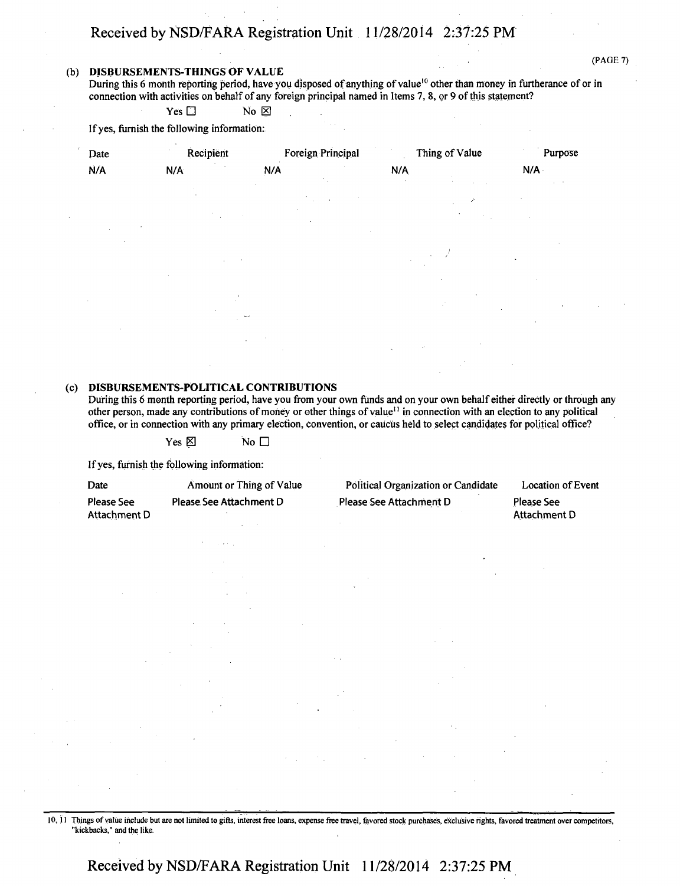#### **(b) DISBURSEMENTS-THINGS OF VALUE**

(PAGE 7)

During this 6 month reporting period, have you disposed of anything of value<sup>10</sup> other than money in furtherance of or in connection with activities on behalf of any foreign principal named in Items 7,8, or 9 of this statement?

Yes  $\square$  No  $\square$ 

If yes, furnish the following information:

| Date   | Recipient | Foreign Principal | Thing of Value                              | Purpose   |
|--------|-----------|-------------------|---------------------------------------------|-----------|
| N/A    | N/A       | N/A               | N/A                                         | N/A       |
|        |           |                   | $\sim$                                      | $\sim$    |
|        |           |                   | r                                           |           |
|        |           |                   |                                             |           |
|        |           |                   |                                             |           |
|        |           |                   |                                             | $\bullet$ |
|        |           |                   |                                             |           |
|        |           |                   |                                             |           |
| $\sim$ |           | $\checkmark$      |                                             | $\bullet$ |
|        |           |                   |                                             |           |
|        |           |                   | $\mathcal{L}^{\mathcal{C}}$<br>$\mathbf{v}$ |           |

#### **(c) DISBURSEMENTS-POLITICAL CONTRIBUTIONS**

During this 6 month reporting period, have you from your own funds and on your own behalf either directly or through any other person, made any contributions of money or other things of value<sup>11</sup> in connection with an election to any political office, or in connection with any primary election, convention, or caucus held to select candidates for political office?

Yes  $\boxtimes$  No  $\Box$ 

If yes, furnish the following information:

| Date         | Amount or Thing of Value |
|--------------|--------------------------|
| Please See   | Please See Attachment D  |
| Attachment D |                          |

Political Organization or Candidate Please See Attachment D

Location of Event Please See Attachment D

10,11 Things of value include but are not limited to gifts, interest free loans, expense free travel, favored stock purchases, exclusive fights, favored treatment over competitors, "kickbacks," and the like.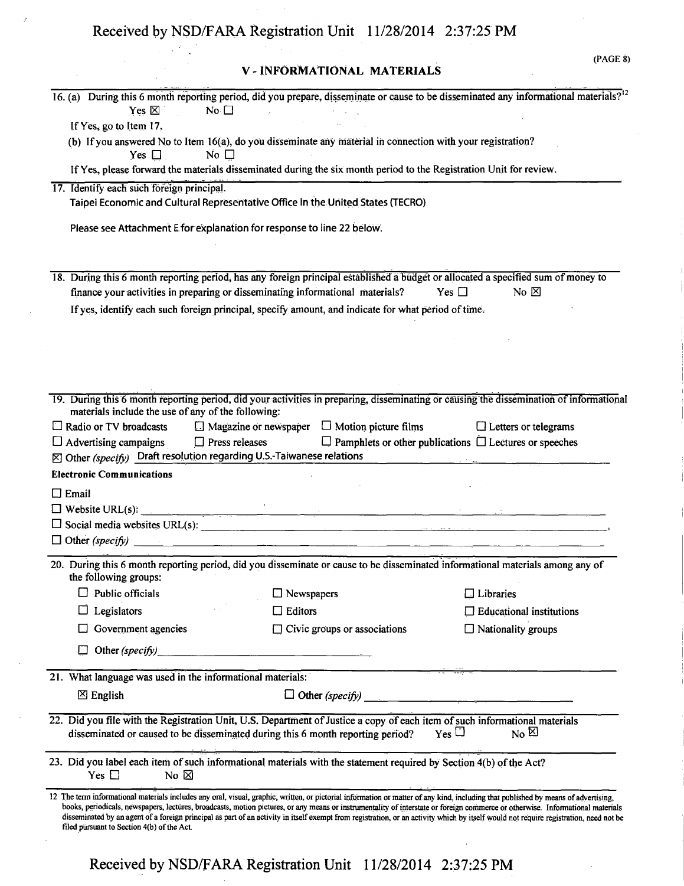$\bar{J}$ 

## **V - INFORMATIONAL MATERIALS**

(PAGE 8)

| Yes $\boxtimes$<br>No $\square$                                                                                                                                                                                                         | 16. (a) During this 6 month reporting period, did you prepare, disseminate or cause to be disseminated any informational materials? <sup>12</sup><br>$\sim 10^{11}$ km                                              |                                                                    |
|-----------------------------------------------------------------------------------------------------------------------------------------------------------------------------------------------------------------------------------------|---------------------------------------------------------------------------------------------------------------------------------------------------------------------------------------------------------------------|--------------------------------------------------------------------|
| If Yes, go to Item 17.                                                                                                                                                                                                                  |                                                                                                                                                                                                                     |                                                                    |
| No $\square$<br>Yes $\square$                                                                                                                                                                                                           | (b) If you answered No to Item 16(a), do you disseminate any material in connection with your registration?                                                                                                         |                                                                    |
|                                                                                                                                                                                                                                         | If Yes, please forward the materials disseminated during the six month period to the Registration Unit for review.                                                                                                  |                                                                    |
| 17. Identify each such foreign principal.                                                                                                                                                                                               |                                                                                                                                                                                                                     |                                                                    |
|                                                                                                                                                                                                                                         | Taipei Economic and Cultural Representative Office in the United States (TECRO)                                                                                                                                     |                                                                    |
| Please see Attachment E for explanation for response to line 22 below.                                                                                                                                                                  |                                                                                                                                                                                                                     |                                                                    |
|                                                                                                                                                                                                                                         | 18. During this 6 month reporting period, has any foreign principal established a budget or allocated a specified sum of money to<br>finance your activities in preparing or disseminating informational materials? | Yes $\Box$<br>No $\boxtimes$                                       |
|                                                                                                                                                                                                                                         | If yes, identify each such foreign principal, specify amount, and indicate for what period of time.                                                                                                                 |                                                                    |
|                                                                                                                                                                                                                                         |                                                                                                                                                                                                                     |                                                                    |
|                                                                                                                                                                                                                                         |                                                                                                                                                                                                                     |                                                                    |
|                                                                                                                                                                                                                                         |                                                                                                                                                                                                                     |                                                                    |
|                                                                                                                                                                                                                                         |                                                                                                                                                                                                                     |                                                                    |
|                                                                                                                                                                                                                                         |                                                                                                                                                                                                                     |                                                                    |
|                                                                                                                                                                                                                                         | 19. During this 6 month reporting period, did your activities in preparing, disseminating or causing the dissemination of informational                                                                             |                                                                    |
| materials include the use of any of the following:                                                                                                                                                                                      |                                                                                                                                                                                                                     |                                                                    |
| $\Box$ Radio or TV broadcasts                                                                                                                                                                                                           | $\Box$ Magazine or newspaper $\Box$ Motion picture films                                                                                                                                                            | $\Box$ Letters or telegrams                                        |
| $\Box$ Advertising campaigns $\Box$ Press releases                                                                                                                                                                                      |                                                                                                                                                                                                                     | $\Box$ Pamphlets or other publications $\Box$ Lectures or speeches |
| $\boxtimes$ Other (specify) Draft resolution regarding U.S.-Taiwanese relations                                                                                                                                                         |                                                                                                                                                                                                                     |                                                                    |
| <b>Electronic Communications</b>                                                                                                                                                                                                        |                                                                                                                                                                                                                     |                                                                    |
| $\Box$ Email                                                                                                                                                                                                                            |                                                                                                                                                                                                                     |                                                                    |
|                                                                                                                                                                                                                                         |                                                                                                                                                                                                                     |                                                                    |
|                                                                                                                                                                                                                                         | $\Box$ Website URL(s): $\Box$                                                                                                                                                                                       |                                                                    |
|                                                                                                                                                                                                                                         |                                                                                                                                                                                                                     |                                                                    |
|                                                                                                                                                                                                                                         |                                                                                                                                                                                                                     |                                                                    |
| the following groups:                                                                                                                                                                                                                   | 20. During this 6 month reporting period, did you disseminate or cause to be disseminated informational materials among any of                                                                                      |                                                                    |
| Public officials                                                                                                                                                                                                                        | $\Box$ Newspapers                                                                                                                                                                                                   | $\Box$ Libraries                                                   |
| Legislators                                                                                                                                                                                                                             | $\Box$ Editors                                                                                                                                                                                                      | $\Box$ Educational institutions                                    |
| Government agencies                                                                                                                                                                                                                     | $\Box$ Civic groups or associations                                                                                                                                                                                 | $\Box$ Nationality groups                                          |
| Other $(specify)$ and the summation of the state of the state of the state of the state of the state of the state of the state of the state of the state of the state of the state of the state of the state of the state of the s<br>⊔ |                                                                                                                                                                                                                     |                                                                    |
| 21. What language was used in the informational materials:                                                                                                                                                                              |                                                                                                                                                                                                                     |                                                                    |
| $\boxtimes$ English                                                                                                                                                                                                                     |                                                                                                                                                                                                                     |                                                                    |
|                                                                                                                                                                                                                                         |                                                                                                                                                                                                                     |                                                                    |
|                                                                                                                                                                                                                                         | 22. Did you file with the Registration Unit, U.S. Department of Justice a copy of each item of such informational materials<br>disseminated or caused to be disseminated during this 6 month reporting period?      | $_{\rm Yes}$ $\Box$<br>$N0$ $\boxtimes$                            |
| No $\boxtimes$<br>Yes $\Box$                                                                                                                                                                                                            | 23. Did you label each item of such informational materials with the statement required by Section 4(b) of the Act?                                                                                                 |                                                                    |
|                                                                                                                                                                                                                                         | 12 The term informational materials includes any oral, visual, graphic, written, or pictorial information or matter of any kind, including that published by means of advertising,                                  |                                                                    |
|                                                                                                                                                                                                                                         | books, periodicals, newspapers, lectures, broadcasts, motion pictures, or any means or instrumentality of interstate or foreign commerce or otherwise. Informational materials                                      |                                                                    |
|                                                                                                                                                                                                                                         | disseminated by an agent of a foreign principal as part of an activity in itself exempt from registration, or an activity which by itself would not require registration, need not be                               |                                                                    |
| filed pursuant to Section 4(b) of the Act.                                                                                                                                                                                              |                                                                                                                                                                                                                     |                                                                    |
|                                                                                                                                                                                                                                         |                                                                                                                                                                                                                     |                                                                    |
|                                                                                                                                                                                                                                         |                                                                                                                                                                                                                     |                                                                    |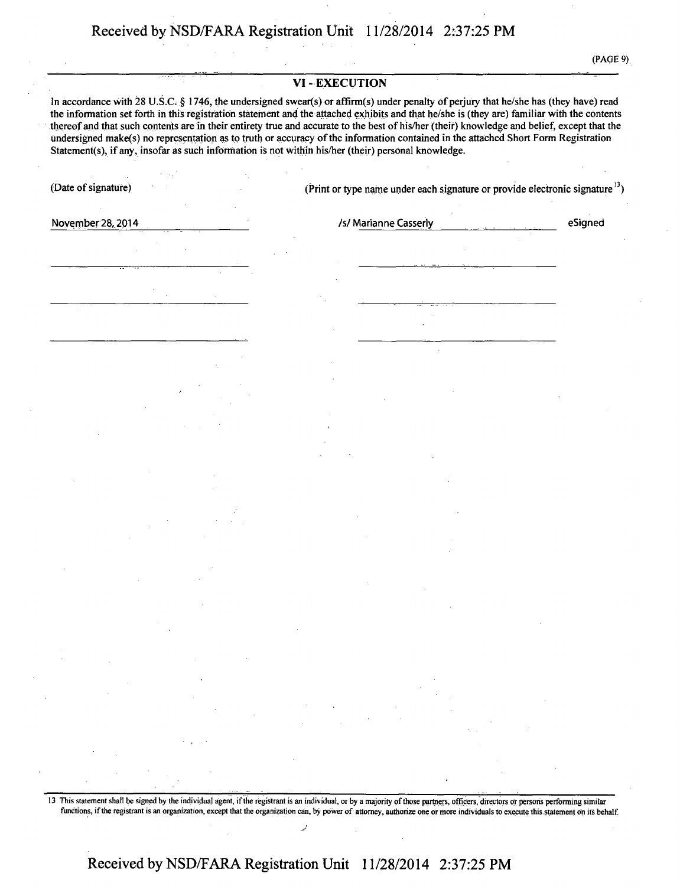**(PAGE 9)** 

#### **VI - EXECUTION**

**In accordance with 28 U.S.C. § 1746, the undersigned swear(s) or affirm(s) under penalty of perjury that he/she has (they have) read the information set forth in this registration statement and the attached exhibits and that he/she is (they are) familiar with the contents thereof and that such contents are in their entirety true and accurate to the best of his/her (their) knowledge and belief, except that the undersigned makefs) no representation as to truth or accuracy of the information contained in the attached Short Form Registration Statement(s), if any, insofar as such information is not within his/her (their) personal knowledge.** 

**(Date of signature) (Print or type name under each signature or provide electronic signature13)** 

**November 28, 2014 Is/Marianne Casserly** *Isl* **Marianne Casserly <b>eSigned Propose** 

13 This statement shall be signed by the individual agent, if the registrant is an individual, or by a majority of those partners, officers, directors or persons performing similar functions, if the registrant is an organization, except that the organization can, by power of attorney, authorize one or more individuals to execute this statement on its behalf.

## **Received by NSD/FARA Registration Unit 11/28/2014 2:37:25 PM**

**J**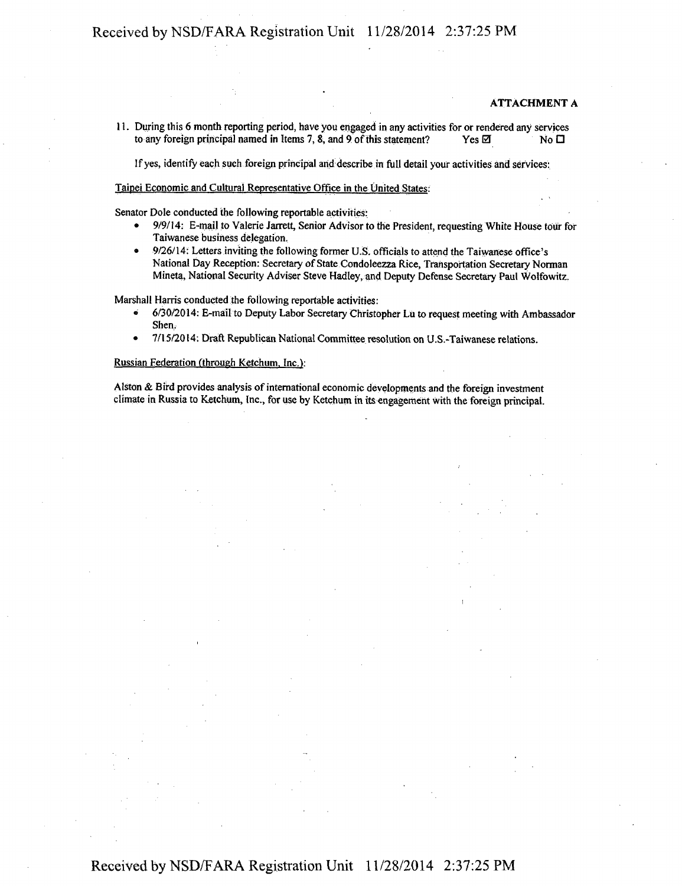#### ATTACHMENT A

11. During this 6 month reporting period, have you engaged in any activities for or rendered any services to any foreign principal named in Items 7, 8, and 9 of this statement? Yes  $\boxtimes$  Yes  $\boxtimes$ 

If yes, identify each such foreign principal and describe in full detail your activities and services:

#### Taipei Economic and Cultural Representative Office in the United States:

Senator Dole conducted the following reportable activities:

- 9/9/14: E-mail to Valerie Jarrett, Senior Advisor to the President, requesting White House tour for Taiwanese business delegation.
- 9/26/14: Letters inviting the following former U.S. officials to attend the Taiwanese office's National Day Reception: Secretary of State Condoleezza Rice, Transportation Secretary Norman Mineta, National Security Adviser Steve Hadley, and Deputy Defense Secretary Paul Wolfowitz.

Marshall Harris conducted the following reportable activities:

- 6/3072014: E-mail to Deputy Labor Secretary Christopher Lu to request meeting with Ambassador Shen,
- 7/15/2014: Draft Republican National Committee resolution on U.S.-Taiwanese relations.

#### Russian Federation (through Ketchum. Inc.):

Alston & Bird provides analysis of international economic developments and the foreign investment climate in Russia to Ketchum, Inc., for use by Ketchum in its engagement with the foreign principal.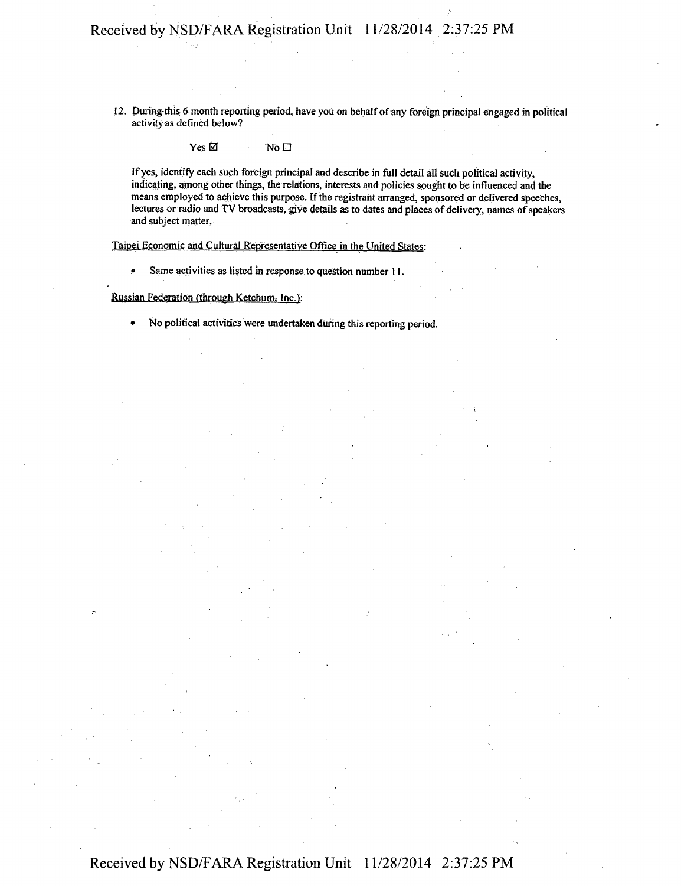12. During this 6 month reporting period, have you on behalf of any foreign principal engaged in political activity as defined below?

 $Yes \boxtimes$  No  $\square$ 

If yes, identify each such foreign principal and describe in full detail all such political activity, indicating, among other things, the relations, interests and policies sought to be influenced and the means employed to achieve this purpose. If the registrant arranged, sponsored or delivered speeches, lectures or radio and TV broadcasts, give details as to dates and places of delivery, names of speakers and subject matter.

Taipei Economic and Cultural Representative Office in the United States:

• Same activities as listed in response to question number 11.

Russian Federation (through Ketchum, Inc.):

• No political activities were undertaken during this reporting period.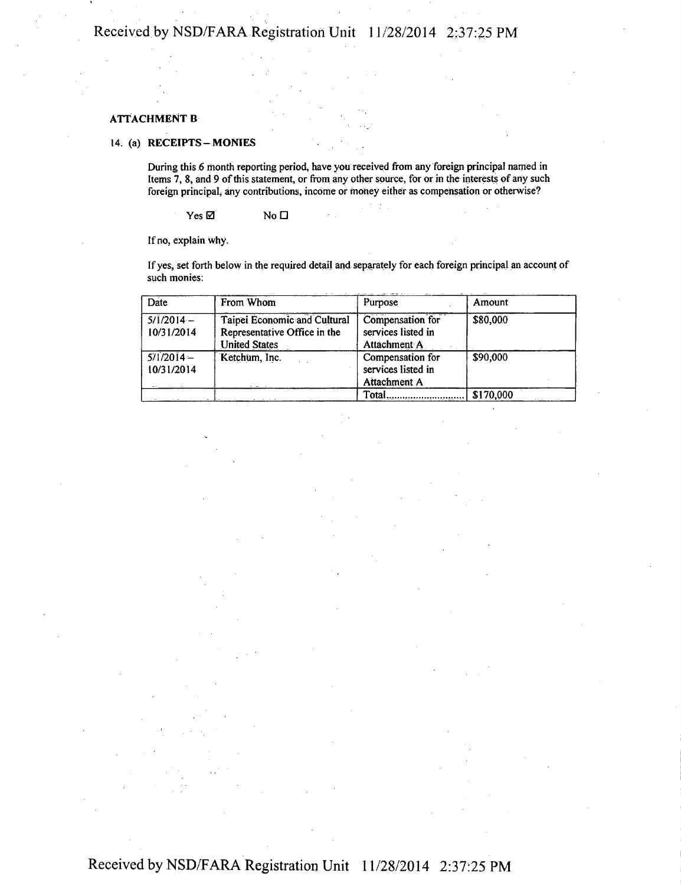#### ATTACHMENT B

#### 14. (a) RECEIPTS-MONIES

During this 6 month reporting period, have you received from any foreign principal named in Items 7, 8, and 9 of this statement, or from any other source, for or in the interests of any such foreign principal, any contributions, income or money either as compensation or otherwise?

 $Yes \boxtimes$  No  $\square$ 

If no, explain why.

If yes, set forth below in the required detail and separately for each foreign principal an account of such monies:

| Date                      | From Whom                                                                            | Purpose                                                | Amount    |
|---------------------------|--------------------------------------------------------------------------------------|--------------------------------------------------------|-----------|
| $5/1/2014-$<br>10/31/2014 | Taipei Economic and Cultural<br>Representative Office in the<br><b>United States</b> | Compensation for<br>services listed in<br>Attachment A | \$80,000  |
| $5/1/2014-$<br>10/31/2014 | Ketchum, Inc.                                                                        | Compensation for<br>services listed in<br>Attachment A | \$90,000  |
|                           |                                                                                      | Total                                                  | \$170,000 |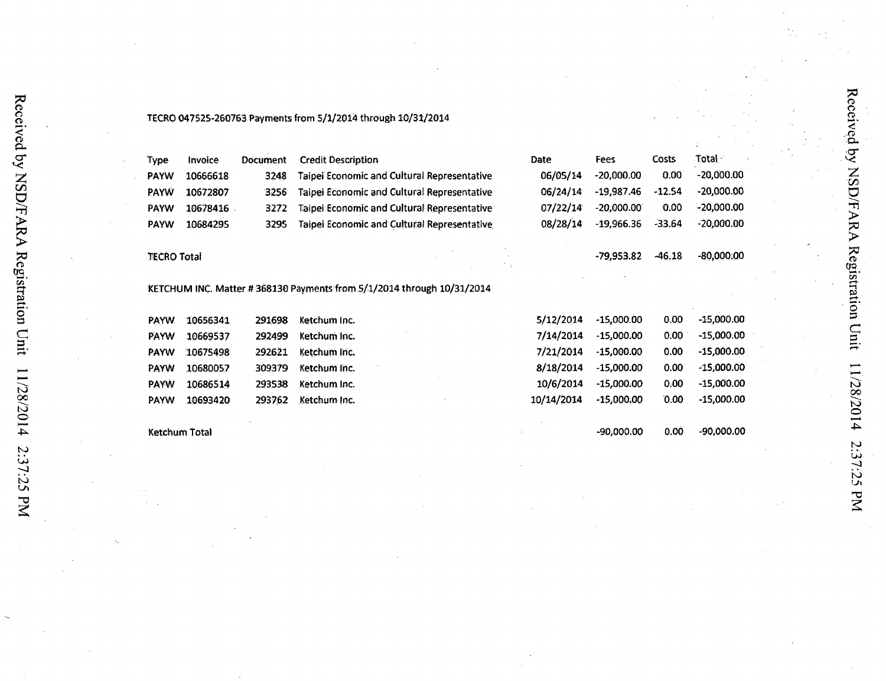| Type        | Invoice  | <b>Document</b> | <b>Credit Description</b>                                                             |
|-------------|----------|-----------------|---------------------------------------------------------------------------------------|
| <b>PAYW</b> | 10666618 | 3248            | Taipei Economic and Cultural Representative                                           |
| <b>PAYW</b> | 10672807 | 3256            | Taipei Economic and Cultural Representative                                           |
| <b>PAYW</b> | 10678416 | 3272            | <b>Taipel Economic and Cultural Representative</b>                                    |
| PAYW        | 10684295 | 3295            | Taipei Economic and Cultural Representative                                           |
| TECRO Total |          |                 |                                                                                       |
|             |          |                 |                                                                                       |
|             |          |                 |                                                                                       |
| <b>PAYW</b> | 10656341 | 291698          | Ketchum Inc.                                                                          |
| PAYW        | 10669537 | 292499          | KETCHUM INC. Matter #368130 Payments from 5/1/2014 through 10/31/2014<br>Ketchum Inc. |
| <b>PAYW</b> | 10675498 | 292621          | Ketchum Inc.                                                                          |
| PAYW        | 10680057 | 309379          | Ketchum Inc.                                                                          |
| <b>PAYW</b> | 10686514 | 293538          | Ketchum Inc.                                                                          |
| <b>PAYW</b> | 10693420 | 293762          | Ketchum Inc.                                                                          |

## 5/12/2014 -15,000.00 0.00 -15,000.00 7/14/2014 -15,000.00 0.00 -15,000.00 7/21/2014 -15,000.00 0.00 -15,000.00 8/18/2014 -15,000.00 0.00 -15,000.00 10/6/2014 -15,000.00 0.00 -15,000.00 10/14/2014 -15,000.00 0.00 -15,000.00 -90,000.00 0.00 -90,000.00

Date Fees Costs Total

06/05/14 -20,000.00 0.00 -20,000.00 06/24/14 -19,987.46 -12.54 -20,000.00 07/22/14 -20,000.00 0.00 -20,000.00 08/28/14 -19,966.36 -33.64 -20,000.00

-79,953.82 -46,18 -80,000.00

Received by NSD/FARA Registration Unit

11/28/2014

2:37:25 PM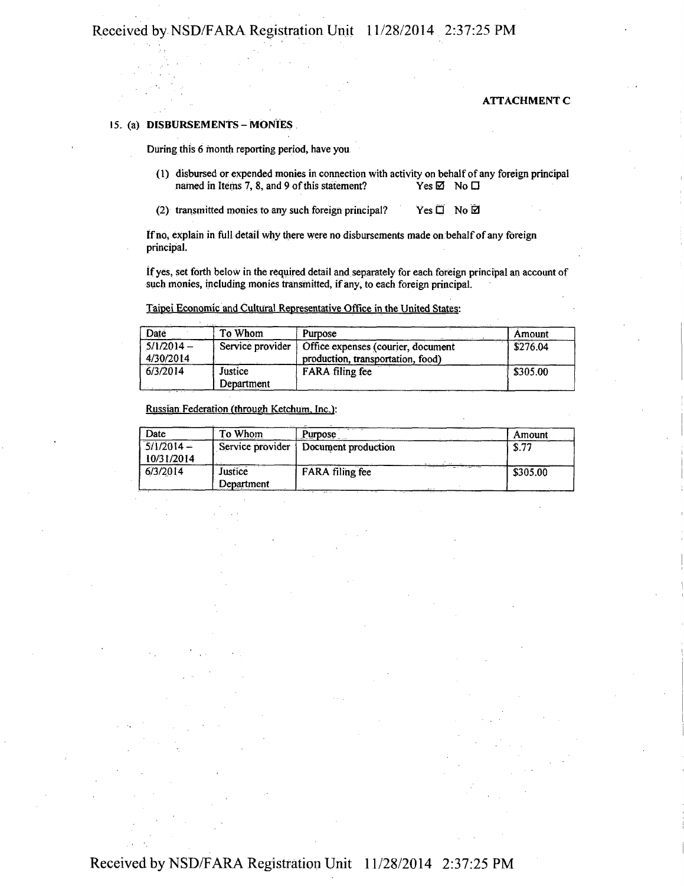#### ATTACHMENT C

#### 15. (a) DISBURSEMENTS - MONIES.

During, this 6 month reporting period, have you

(!) disbursed or expended monies in connection with activity on behalf of any foreign principal named in Items 7, 8, and 9 of this statement? Yes  $\boxtimes$  No  $\Box$ 

(2) transmitted monies to any such foreign principal? Yes  $\Box$  No  $\Box$ 

If no, explain in full detail why there were no disbursements made on behalf of any foreign principal.

if yes, set forth below in the required detail and separately for each foreign principal an account of such monies, including monies transmitted, if any, to each foreign principal.

Taipei Economic and Cultural Representative Office in the United States:

| Date                      | To Whom               | Purpose                                                                 | Amount                 |
|---------------------------|-----------------------|-------------------------------------------------------------------------|------------------------|
| $5/1/2014 -$<br>4/30/2014 | Service provider      | Office expenses (courier, document<br>production, transportation, food) | \$276.04               |
| 6/3/2014                  | Justice<br>Department | FARA filing fee                                                         | $\frac{1}{2}$ \$305.00 |

Russian Federation (through Ketchum. Inc.):

| Date                       | To Whom               | Purpose                                 | Amount   |
|----------------------------|-----------------------|-----------------------------------------|----------|
| $5/1/2014 -$<br>10/31/2014 | Service provider      | Document production                     | \$.77    |
| 6/3/2014                   | Justice<br>Department | <b>FARA</b> filing fee<br>$\sim$ $\sim$ | \$305.00 |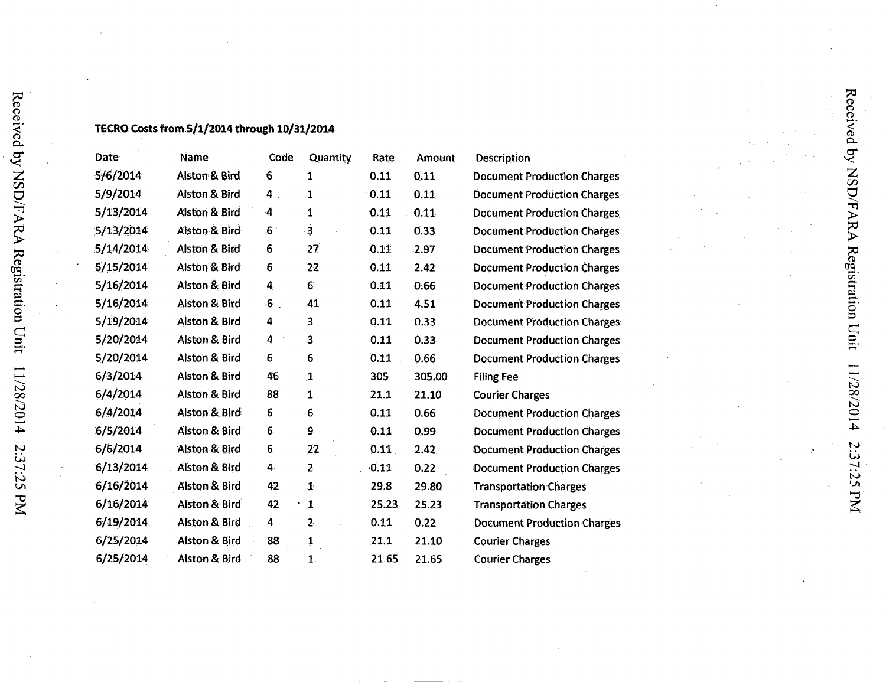### **TECRO Costs from 5/1/2014 through 10/31/2014**

 $\mathbf{\bar{S}}$ 

pax<br>  $\zeta$ 

in O

>

 $\overline{\mathbf{G}}$  .  $\mathbf{S}^+$ 

sr.. **o**  a

oo o

 $\sim$  $\overline{ }$  $\boldsymbol{\mathsf{c}}$ 

| Date      | Name                     | Code           | <b>Quantity</b> | Rate  | Amount | Description                        |
|-----------|--------------------------|----------------|-----------------|-------|--------|------------------------------------|
| 5/6/2014  | Alston & Bird            | 6              | 1               | 0.11  | 0.11   | <b>Document Production Charges</b> |
| 5/9/2014  | Alston & Bird            | $4$ .          | 1               | 0.11  | 0.11   | Document Production Charges        |
| 5/13/2014 | <b>Alston &amp; Bird</b> | 4              | 1               | 0.11  | 0.11   | <b>Document Production Charges</b> |
| 5/13/2014 | Alston & Bird            | $6^{\circ}$    | $\ddot{3}$      | 0.11  | 0.33   | <b>Document Production Charges</b> |
| 5/14/2014 | <b>Alston &amp; Bird</b> | 6              | 27              | 0.11  | 2.97   | <b>Document Production Charges</b> |
| 5/15/2014 | <b>Alston &amp; Bird</b> | $6 -$          | 22              | 0.11  | 2.42   | <b>Document Production Charges</b> |
| 5/16/2014 | <b>Alston &amp; Bird</b> | 4              | 6               | 0.11  | 0.66   | <b>Document Production Charges</b> |
| 5/16/2014 | <b>Alston &amp; Bird</b> | 6 <sub>1</sub> | 41              | 0.11  | 4.51   | <b>Document Production Charges</b> |
| 5/19/2014 | Alston & Bird            | 4              | 3               | 0.11  | 0.33   | <b>Document Production Charges</b> |
| 5/20/2014 | Alston & Bird            | 4              | 3 <sup>5</sup>  | 0.11  | 0.33   | <b>Document Production Charges</b> |
| 5/20/2014 | Alston & Bird            | 6              | 6               | 0.11  | 0.66   | <b>Document Production Charges</b> |
| 6/3/2014  | Alston & Bird            | 46             | $\mathbf{1}$    | 305   | 305.00 | <b>Filing Fee</b>                  |
| 6/4/2014  | <b>Alston &amp; Bird</b> | 88             | $\mathbf{1}$    | 21.1  | 21,10  | <b>Courier Charges</b>             |
| 6/4/2014  | Alston & Bird            | 6              | 6               | 0.11  | 0.66   | <b>Document Production Charges</b> |
| 6/5/2014  | <b>Alston &amp; Bird</b> | 6              | 9               | 0.11  | 0.99   | <b>Document Production Charges</b> |
| 6/6/2014  | Alston & Bird            | 6              | 22              | 0.11  | 2.42   | Document Production Charges        |
| 6/13/2014 | <b>Alston &amp; Bird</b> | 4.             | $\overline{2}$  | 0.11  | 0.22   | Document Production Charges        |
| 6/16/2014 | <b>Alston &amp; Bird</b> | 42             | $\mathbf{1}$    | 29.8  | 29.80  | <b>Transportation Charges</b>      |
| 6/16/2014 | <b>Alston &amp; Bird</b> | 42             | $\mathbf{1}$    | 25.23 | 25.23  | <b>Transportation Charges</b>      |
| 6/19/2014 | <b>Alston &amp; Bird</b> | 4              | 2               | 0.11  | 0.22   | <b>Document Production Charges</b> |
| 6/25/2014 | <b>Alston &amp; Bird</b> | 88             | $\mathbf{1}$    | 21.1  | 21.10  | <b>Courier Charges</b>             |
| 6/25/2014 | <b>Alston &amp; Bird</b> | 88             | $\mathbf{1}$    | 21.65 | 21.65  | <b>Courier Charges</b>             |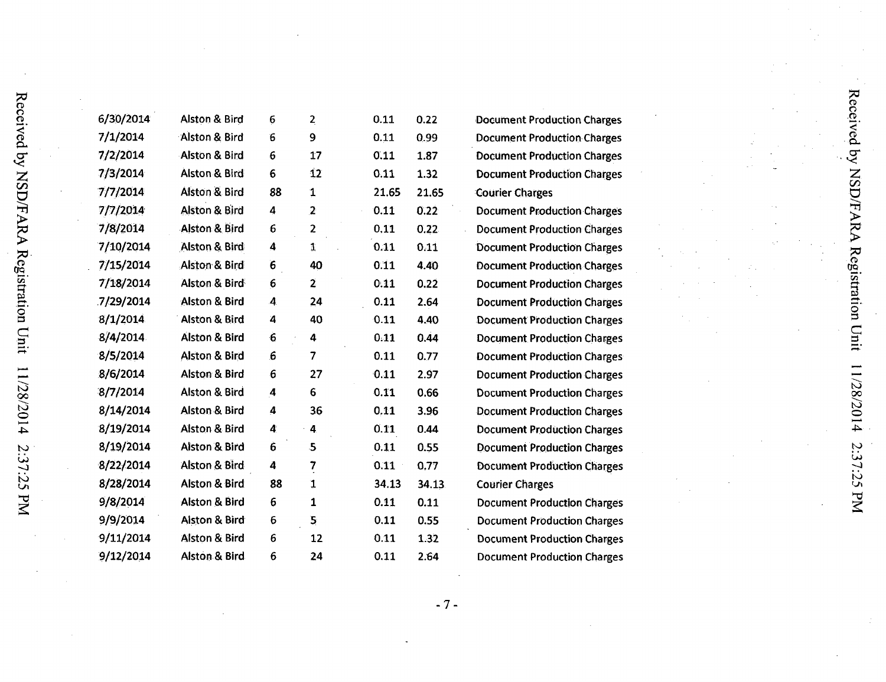| 6/30/2014 | <b>Alston &amp; Bird</b> | $\bf 6$             | $\overline{2}$          | 0.11  | 0.22  | Doct |  |
|-----------|--------------------------|---------------------|-------------------------|-------|-------|------|--|
| 7/1/2014  | Alston & Bird            | 6                   | 9                       | 0.11  | 0.99  | Doct |  |
| 7/2/2014  | <b>Alston &amp; Bird</b> | $\boldsymbol{6}$    | 17                      | 0.11  | 1.87  | Doct |  |
| 7/3/2014  | Alston & Bird            | 6                   | $\mathbf{12}$           | 0.11  | 1.32  | Doct |  |
| 7/7/2014  | Alston & Bird            | 88                  | 1                       | 21.65 | 21.65 | Cour |  |
| 7/7/2014  | <b>Alston &amp; Bird</b> | 4                   | $\overline{2}$          | 0.11  | 0.22  | Doct |  |
| 7/8/2014  | <b>Alston &amp; Bird</b> | 6                   | $\overline{\mathbf{c}}$ | 0,11  | 0.22. | Doct |  |
| 7/10/2014 | Alston & Bird            | 4                   | 1                       | 0.11  | 0.11  | Doct |  |
| 7/15/2014 | Alston & Bird            | 6                   | 40                      | 0.11  | 4.40  | Doct |  |
| 7/18/2014 | Alston & Bird            | 6                   | $\overline{2}$          | 0.11  | 0.22  | Doct |  |
| 7/29/2014 | <b>Alston &amp; Bird</b> | 4                   | 24                      | 0.11  | 2.64  | Doct |  |
| 8/1/2014  | <b>Alston &amp; Bird</b> | 4                   | 40                      | 0.11  | 4.40  | Doci |  |
| 8/4/2014  | Alston & Bird            | $\ddot{\mathbf{6}}$ | 4                       | 0.11  | 0.44  | Doct |  |
| 8/5/2014  | Alston & Bird            | 6                   | 7                       | 0.11  | 0.77  | Doct |  |
| 8/6/2014  | <b>Alston &amp; Bird</b> | 6                   | 27                      | 0.11  | 2.97  | Doct |  |
| 8/7/2014  | <b>Alston &amp; Bird</b> | 4                   | 6                       | 0.11  | 0.66  | Doct |  |
| 8/14/2014 | <b>Alston &amp; Bird</b> | 4                   | 36                      | 0,11  | 3.96  | Doct |  |
| 8/19/2014 | Alston & Bird            | 4                   | $\cdot$ 4               | 0.11  | 0.44  | Doct |  |
| 8/19/2014 | <b>Alston &amp; Bird</b> | 6                   | 5                       | 0.11  | 0.55  | Doct |  |
| 8/22/2014 | Alston & Bird            | 4                   | $\overline{\mathbf{r}}$ | 0.11  | 0,77  | Doct |  |
| 8/28/2014 | Alston & Bird            | 88                  | $\mathbf{1}$            | 34.13 | 34.13 | Coul |  |
| 9/8/2014  | Alston & Bird            | 6                   | $\mathbf{1}$            | 0.11  | 0.11  | Doci |  |
| 9/9/2014  | Alston & Bird            | 6                   | $\overline{\mathbf{5}}$ | 0.11  | 0.55  | Doct |  |
| 9/11/2014 | Alston & Bird            | 6                   | 12                      | 0.11  | 1.32  | Doct |  |
| 9/12/2014 | Alston & Bird            | 6                   | 24                      | 0.11  | 2.64  | Doct |  |
|           |                          |                     |                         |       |       |      |  |

ument Production Charges ument Production Charges ument Production Charges ument Production Charges rier Charges ument Production Charges ument Production Charges ument Production Charges ument Production Charges ument Production Charges ument Production Charges ument Production Charges ument Production Charges ument Production Charges ument Production Charges ument Production Charges ument Production Charges ument Production Charges ument Production Charges ument Production Charges rier Charges ument Production Charges ument Production Charges ument Production Charges ument Production Charges

 $-7-$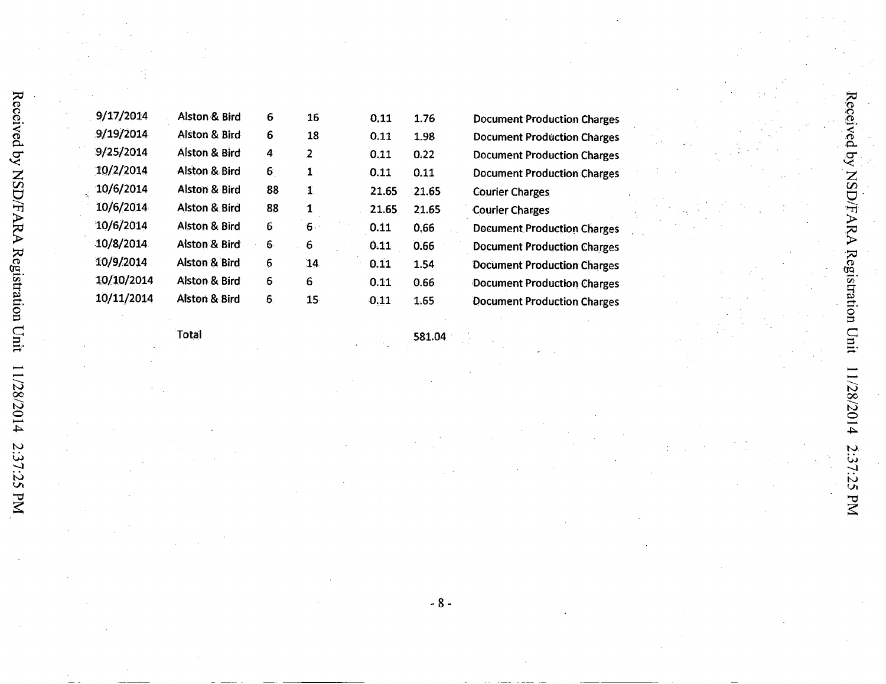| 9/17/2014  | Alston & Bird            | 6  | 16              | 0.11  | 1.76  |  |
|------------|--------------------------|----|-----------------|-------|-------|--|
| 9/19/2014  | Alston & Bird            | 6  | 18              | 0.11  | 1.98  |  |
| 9/25/2014  | Alston & Bird            | 4  | 2               | 0.11  | 0.22  |  |
| 10/2/2014  | Alston & Bird            | 6. | 1               | 0.11  | 0.11  |  |
| 10/6/2014  | <b>Alston &amp; Bird</b> | 88 | $\mathbf{1}$    | 21.65 | 21.65 |  |
| 10/6/2014  | Alston & Bird            | 88 | 1               | 21.65 | 21.65 |  |
| 10/6/2014  | <b>Alston &amp; Bird</b> | 6  | $6 -$           | 0.11  | 0.66  |  |
| 10/8/2014  | <b>Alston &amp; Bird</b> | 6  | 6               | 0.11  | 0.66  |  |
| 10/9/2014  | Alston & Bird            | 6  | 14              | 0.11  | 1.54  |  |
| 10/10/2014 | Alston & Bird            | 6  | 6               | 0.11  | 0.66  |  |
| 10/11/2014 | Alston & Bird            | 6. | 15 <sub>1</sub> | 0.11  | 1.65  |  |
|            |                          |    |                 |       |       |  |

Document Production Charges Document Production Charges Document Production Charges Document Production Charges Courier Charges Courier Charges Document Production Charges Document Production Charges Document Production Charges Document Production Charges Document Production Charges

Total

581.04

 $- 8 -$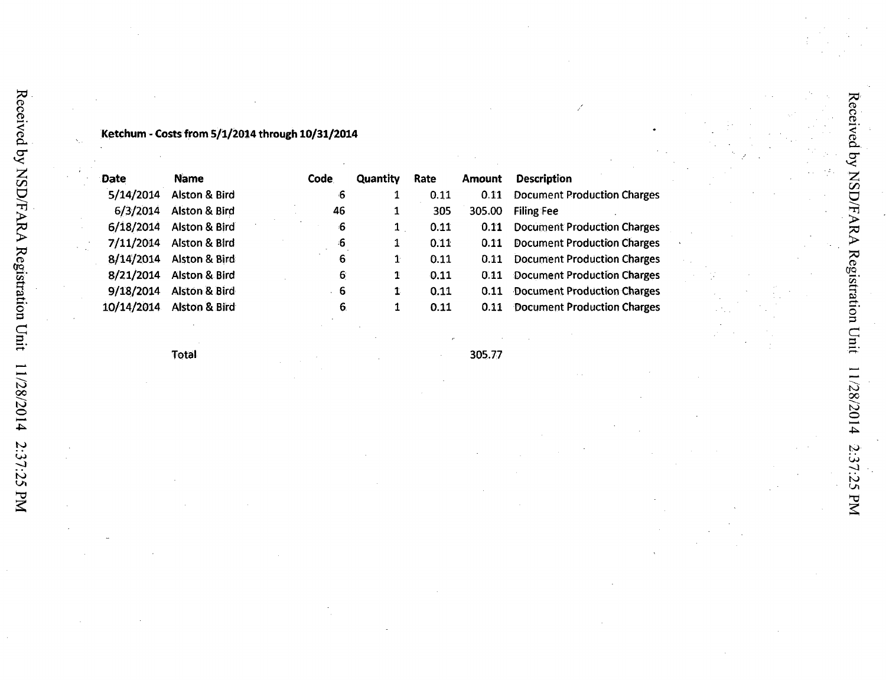### **Ketchum - Costs from 5/1/2014 through 10/31/2014**

| <b>Date</b> | <b>Name</b>              | Code | Quantity | Rate | <b>Amount</b> | <b>Description</b>                 |
|-------------|--------------------------|------|----------|------|---------------|------------------------------------|
| 5/14/2014   | <b>Alston &amp; Bird</b> | -6   | 1        | 0.11 | 0.11          | <b>Document Production Charges</b> |
| 6/3/2014    | Alston & Bird            | 46   | 1        | 305  | 305.00        | <b>Filing Fee</b>                  |
| 6/18/2014   | Alston & Bird            | -6   | 1        | 0.11 | 0.11          | <b>Document Production Charges</b> |
| 7/11/2014   | <b>Alston &amp; Bird</b> | -6   | 1        | 0.11 | 0.11          | <b>Document Production Charges</b> |
| 8/14/2014   | Alston & Bird            | 6    | 1        | 0.11 | 0.11          | <b>Document Production Charges</b> |
| 8/21/2014   | Alston & Bird            | 6    | 1        | 0.11 | 0.11          | <b>Document Production Charges</b> |
| 9/18/2014   | <b>Alston &amp; Bird</b> | ·6   | 1        | 0.11 | 0.11          | <b>Document Production Charges</b> |
| 10/14/2014  | <b>Alston &amp; Bird</b> | 6.   | 1        | 0.11 | 0.11          | <b>Document Production Charges</b> |

Total 305.77

بموا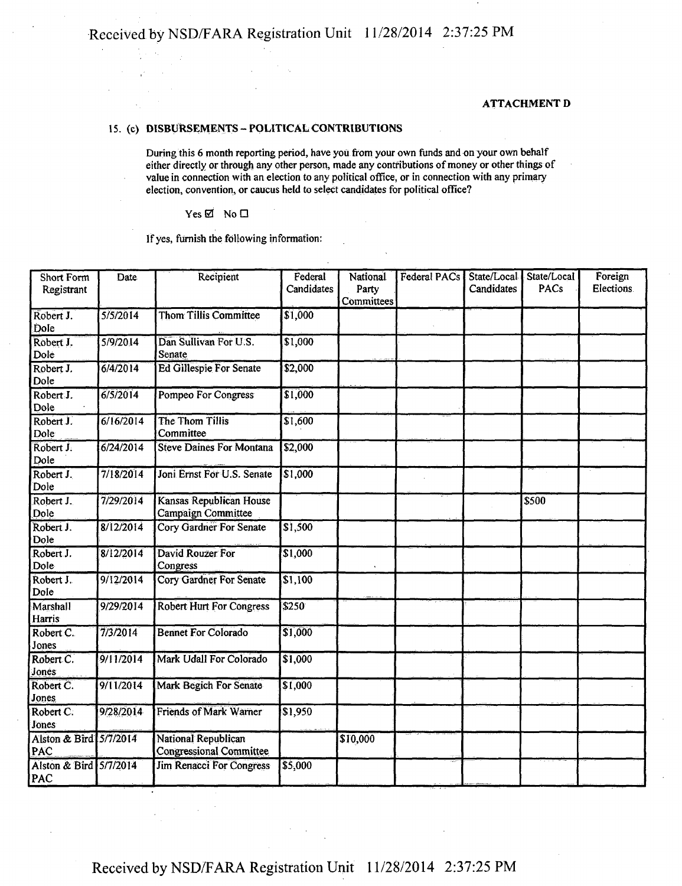#### ATTACHMENT D

#### 15. (c) DISBURSEMENTS - POLITICAL CONTRIBUTIONS

During this 6 month reporting period, have you from your own funds and on your own behalf either directly or through any other person, made any contributions of money or other things of value in connection with an election to any political office, or in connection with any primary election, convention, or caucus held to select candidates for political office?

 $Yes \boxtimes No \square$ 

 $\frac{1}{2}$  .  $\alpha_{\rm s}$  $\gamma_{\rm eff}^{\rm 1.5-0.5}$ 

If yes, furnish the following information:

| <b>Short Form</b><br>Registrant | Date               | Recipient                                             | Federal<br>Candidates | National<br>Party<br>Committees | <b>Federal PACs</b> | State/Local<br>Candidates | State/Local<br>PACs | Foreign<br>Elections. |
|---------------------------------|--------------------|-------------------------------------------------------|-----------------------|---------------------------------|---------------------|---------------------------|---------------------|-----------------------|
| Robert J.<br>Dole               | 5/5/2014           | <b>Thom Tillis Committee</b>                          | \$1,000               |                                 |                     |                           |                     |                       |
| Robert J.<br>Dole               | 5/9/2014           | Dan Sullivan For U.S.<br>Senate                       | \$1,000               |                                 |                     |                           |                     |                       |
| Robert J.<br>Dole               | $\frac{6}{4/2014}$ | <b>Ed Gillespie For Senate</b>                        | \$2,000               |                                 |                     |                           |                     |                       |
| Robert J.<br>Dole               | $\sqrt{6/5/2014}$  | Pompeo For Congress                                   | \$1,000               |                                 |                     |                           |                     |                       |
| Robert J.<br>Dole               | 6/16/2014          | The Thom Tillis<br>Committee                          | $\sqrt{1,600}$        |                                 |                     |                           |                     |                       |
| Robert J.<br>Dole               | $\sqrt{6/24/2014}$ | <b>Steve Daines For Montana</b>                       | \$2,000               |                                 |                     |                           |                     |                       |
| Robert J.<br>Dole               | 7/18/2014          | Joni Ernst For U.S. Senate                            | \$1,000               |                                 |                     |                           |                     |                       |
| Robert J.<br>Dole               | 7/29/2014          | Kansas Republican House<br>Campaign Committee         |                       |                                 |                     |                           | \$500               |                       |
| Robert J.<br>Dole               | 8/12/2014          | <b>Cory Gardner For Senate</b>                        | \$1,500               |                                 |                     |                           |                     |                       |
| Robert J.<br>Dole               | 8/12/2014          | David Rouzer For<br>Congress                          | \$1,000               |                                 |                     |                           |                     |                       |
| Robert J.<br>Dole               | 9/12/2014          | Cory Gardner For Senate                               | $\sqrt{$1,100}$       |                                 |                     |                           |                     |                       |
| Marshall<br>Harris              | 9/29/2014          | <b>Robert Hurt For Congress</b>                       | \$250                 |                                 |                     |                           |                     |                       |
| Robert C.<br>Jones              | 7/3/2014           | <b>Bennet For Colorado</b>                            | \$1,000               |                                 |                     |                           |                     |                       |
| Robert C.<br>Jones              | 9/11/2014          | Mark Udall For Colorado                               | \$1,000               |                                 |                     |                           |                     |                       |
| Robert C.<br>Jones              | 9/11/2014          | Mark Begich For Senate                                | \$1,000               |                                 |                     |                           |                     |                       |
| Robert C.<br>Jones              | 9/28/2014          | <b>Friends of Mark Warner</b>                         | \$1,950               |                                 |                     |                           |                     |                       |
| Alston & Bird 5/7/2014<br>PAC   |                    | National Republican<br><b>Congressional Committee</b> |                       | \$10,000                        |                     |                           |                     |                       |
| Alston & Bird 5/7/2014<br>PAC   |                    | <b>Jim Renacci For Congress</b>                       | \$5,000               |                                 |                     |                           |                     |                       |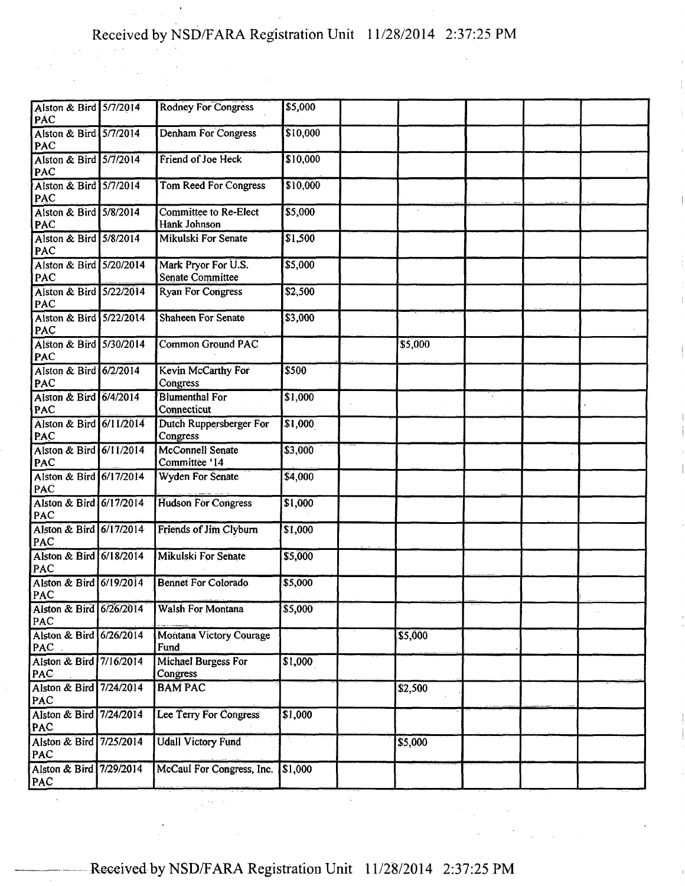| Alston & Bird 5/7/2014<br>PAC         | <b>Rodney For Congress</b>                     | \$5,000         |         |  |  |
|---------------------------------------|------------------------------------------------|-----------------|---------|--|--|
| Alston & Bird 5/7/2014<br>PAC         | <b>Denham For Congress</b>                     | \$10,000        |         |  |  |
| Alston & Bird 5/7/2014<br>PAC         | Friend of Joe Heck                             | \$10,000        |         |  |  |
| Alston & Bird 5/7/2014<br>PAC         | <b>Tom Reed For Congress</b>                   | \$10,000        |         |  |  |
| Alston & Bird 5/8/2014<br><b>PAC</b>  | Committee to Re-Elect<br>Hank Johnson          | \$5,000         |         |  |  |
| Alston & Bird 5/8/2014<br>PAC         | Mikulski For Senate                            | $\sqrt{$1,500}$ |         |  |  |
| Alston & Bird 5/20/2014<br>PAC        | Mark Pryor For U.S.<br><b>Senate Committee</b> | \$5,000         |         |  |  |
| Alston & Bird 5/22/2014<br>PAC        | <b>Ryan For Congress</b>                       | \$2,500         |         |  |  |
| Alston & Bird 5/22/2014<br>PAC        | <b>Shaheen For Senate</b>                      | \$3,000         |         |  |  |
| Alston & Bird 5/30/2014<br>PAC        | <b>Common Ground PAC</b>                       |                 | \$5,000 |  |  |
| Alston & Bird 6/2/2014<br>PAC         | <b>Kevin McCarthy For</b><br>Congress          | \$500           |         |  |  |
| Alston & Bird 6/4/2014<br>PAC         | <b>Blumenthal For</b><br>Connecticut           | \$1,000         |         |  |  |
| Alston & Bird 6/11/2014<br>PAC        | <b>Dutch Ruppersberger For</b><br>Congress     | \$1,000         |         |  |  |
| Alston & Bird 6/11/2014<br>PAC        | <b>McConnell Senate</b><br>Committee '14       | \$3,000         |         |  |  |
| Alston & Bird 6/17/2014<br>PAC        | <b>Wyden For Senate</b>                        | \$4,000         |         |  |  |
| Alston & Bird 6/17/2014<br>PAC        | <b>Hudson For Congress</b>                     | \$1,000         |         |  |  |
| Alston & Bird 6/17/2014<br>PAC        | Friends of Jim Clyburn                         | \$1,000         |         |  |  |
| Alston & Bird 6/18/2014<br>PAC        | Mikulski For Senate                            | \$5,000         |         |  |  |
| Alston & Bird 6/19/2014<br>PAC        | <b>Bennet For Colorado</b>                     | \$5,000         |         |  |  |
| Alston & Bird 6/26/2014<br>PAC        | <b>Walsh For Montana</b>                       | \$5,000         |         |  |  |
| Alston & Bird 6/26/2014<br>PAC        | <b>Montana Victory Courage</b><br>Fund         |                 | \$5,000 |  |  |
| Alston & Bird 7/16/2014<br>PAC        | Michael Burgess For<br>Congress                | \$1,000         |         |  |  |
| Alston & Bird 7/24/2014<br><b>PAC</b> | <b>BAM PAC</b>                                 |                 | \$2,500 |  |  |
| Alston & Bird 7/24/2014<br><b>PAC</b> | Lee Terry For Congress                         | $\sqrt{$1,000}$ |         |  |  |
| Alston & Bird 7/25/2014<br>PAC        | <b>Udall Victory Fund</b>                      |                 | \$5,000 |  |  |
| Alston & Bird 7/29/2014<br>PAC        | McCaul For Congress, Inc.                      | \$1,000         |         |  |  |
|                                       |                                                |                 |         |  |  |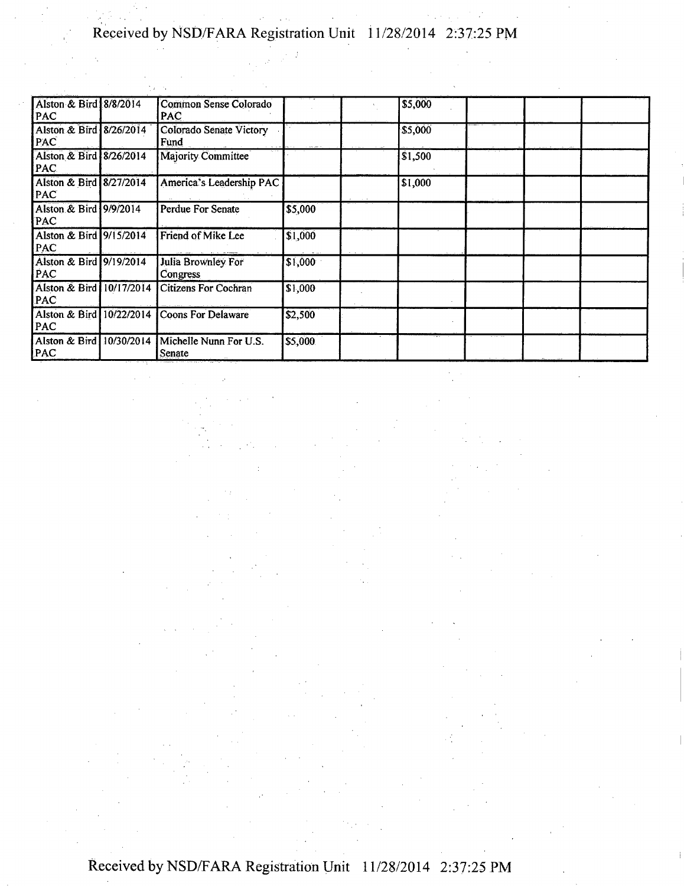| Alston & Bird 8/8/2014<br>PAC          | Common Sense Colorado<br><b>PAC</b> |         | \$5,000         |  |  |
|----------------------------------------|-------------------------------------|---------|-----------------|--|--|
| Alston & Bird 8/26/2014<br>PAC         | Colorado Senate Victory<br>Fund     |         | <b>S5,000</b>   |  |  |
| Alston & Bird 8/26/2014<br>PAC.        | <b>Majority Committee</b>           |         | $\vert$ \$1,500 |  |  |
| Alston & Bird 8/27/2014<br>PAC         | America's Leadership PAC            |         | \$1,000         |  |  |
| Alston & Bird 9/9/2014<br><b>PAC</b>   | Perdue For Senate                   | \$5,000 |                 |  |  |
| Alston & Bird 9/15/2014<br>PAC         | Friend of Mike Lee                  | \$1,000 |                 |  |  |
| Alston & Bird 9/19/2014<br>PAC         | Julia Brownley For<br>Congress      | \$1,000 |                 |  |  |
| Alston & Bird 10/17/2014<br>PAC        | <b>Citizens For Cochran</b>         | 51,000  |                 |  |  |
| Alston & Bird 10/22/2014<br>PAC        | <b>Coons For Delaware</b>           | 52,500  |                 |  |  |
| Alston & Bird 10/30/2014<br><b>PAC</b> | Michelle Nunn For U.S.<br>Senate    | \$5,000 |                 |  |  |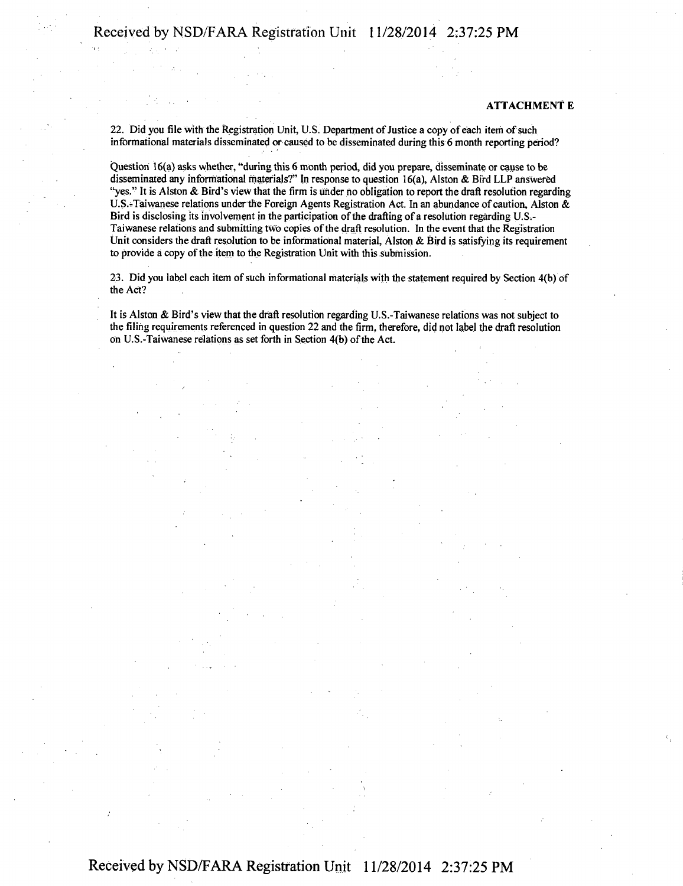#### **ATTACHMENT E**

22. Did you file with the Registration Unit, U.S. Department of Justice a copy of each item of such informational materials disseminated or caused to be disseminated during this 6 month reporting period?

Question 16(a) asks whether, "during this 6 month period, did you prepare, disseminate or cause to be disseminated any informational materials?" In response to question 16(a), Alston & Bird LLP answered "yes." It is Alston & Bird's view that the firm is under no obligation to report the draft resolution regarding U.S.-Taiwanese relations under the Foreign Agents Registration Act. In an abundance of caution, Alston & Bird is disclosing its involvement in the participation of the drafting of a resolution regarding U.S.-Taiwanese relations and submitting two copies of the draft resolution. In the event that the Registration Unit considers the draft resolution to be informational material, Alston & Bird is satisfying its requirement to provide a copy of the item to the Registration Unit with this submission.

23. Did you label each item of such informational materials with the statement required by Section 4(b) of the Act?

It is Alston & Bird's view that the draft resolution regarding U.S.-Taiwanese relations was not subject to the filing requirements referenced in question 22 and the firm, therefore, did not label the draft resolution on U.S.-Taiwanese relations as set forth in Section 4(b) of the Act.